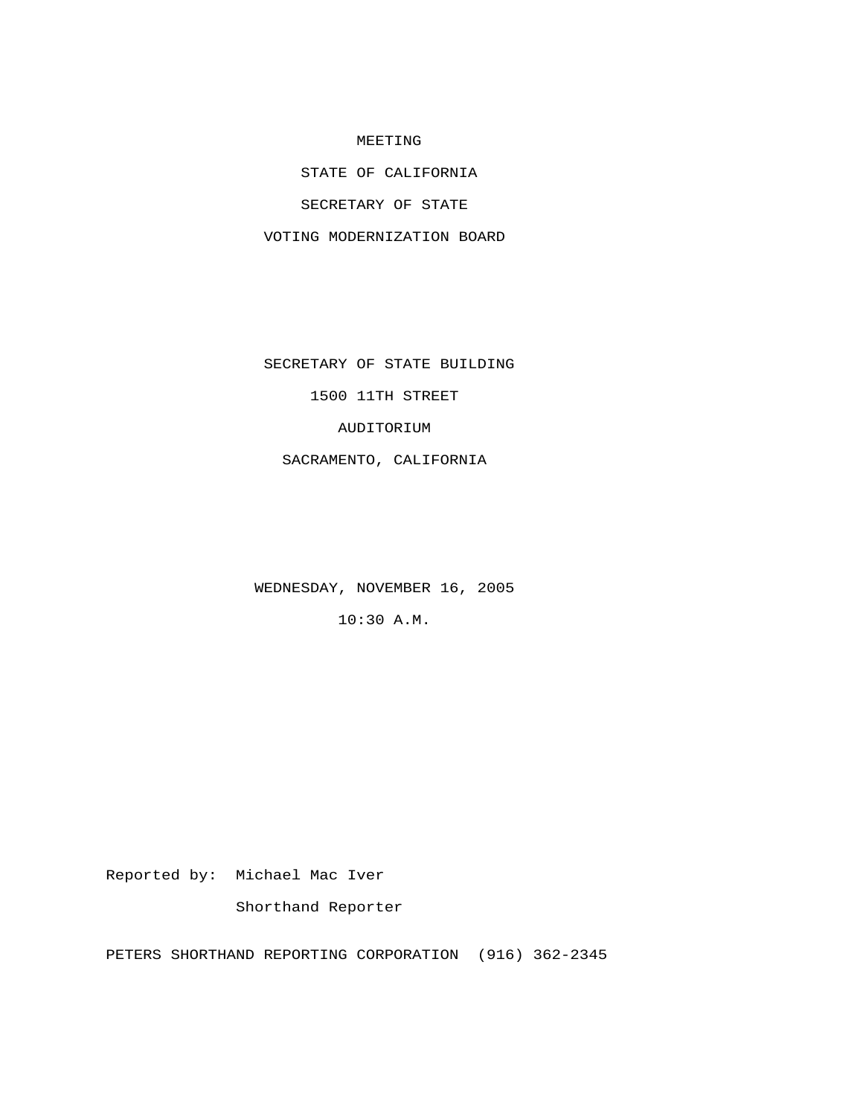## MEETING

STATE OF CALIFORNIA

SECRETARY OF STATE

VOTING MODERNIZATION BOARD

SECRETARY OF STATE BUILDING

1500 11TH STREET

AUDITORIUM

SACRAMENTO, CALIFORNIA

WEDNESDAY, NOVEMBER 16, 2005

10:30 A.M.

Reported by: Michael Mac Iver

Shorthand Reporter

PETERS SHORTHAND REPORTING CORPORATION (916) 362-2345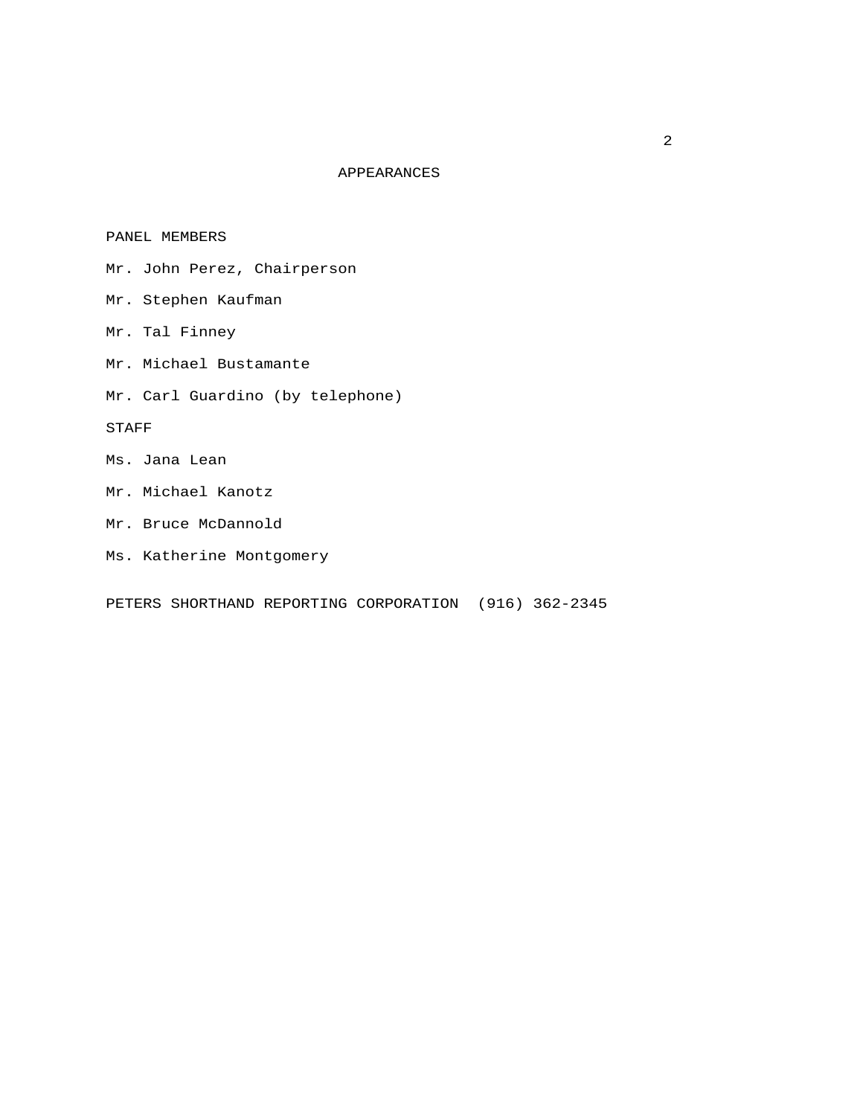## APPEARANCES

PANEL MEMBERS

- Mr. John Perez, Chairperson
- Mr. Stephen Kaufman
- Mr. Tal Finney
- Mr. Michael Bustamante
- Mr. Carl Guardino (by telephone)

STAFF

- Ms. Jana Lean
- Mr. Michael Kanotz
- Mr. Bruce McDannold
- Ms. Katherine Montgomery

PETERS SHORTHAND REPORTING CORPORATION (916) 362-2345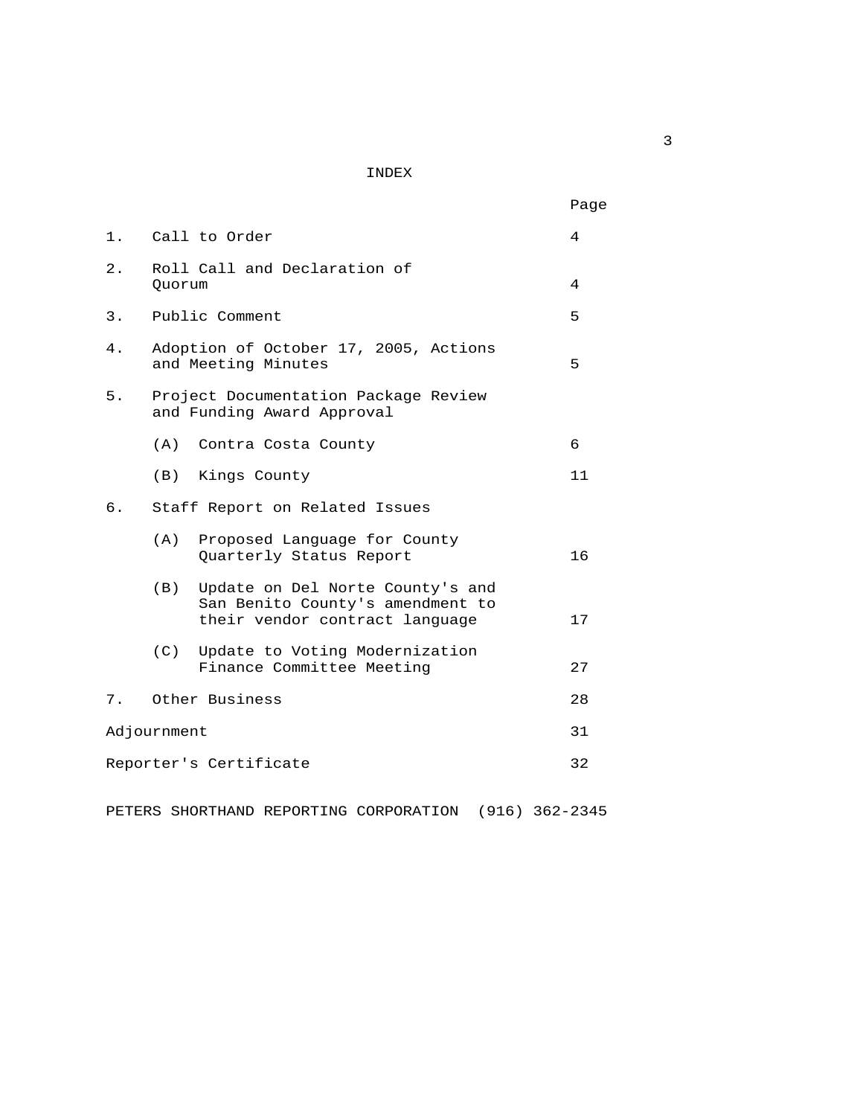INDEX

|    |                                                                                                               | Page |
|----|---------------------------------------------------------------------------------------------------------------|------|
|    | 1. Call to Order                                                                                              | 4    |
| 2. | Roll Call and Declaration of<br>Ouorum                                                                        | 4    |
| 3. | Public Comment                                                                                                | 5    |
| 4. | Adoption of October 17, 2005, Actions<br>and Meeting Minutes                                                  | 5    |
| 5. | Project Documentation Package Review<br>and Funding Award Approval                                            |      |
|    | (A) Contra Costa County                                                                                       | 6    |
|    | (B)<br>Kings County                                                                                           | 11   |
| 6. | Staff Report on Related Issues                                                                                |      |
|    | (A)<br>Proposed Language for County<br>Quarterly Status Report                                                | 16   |
|    | (B)<br>Update on Del Norte County's and<br>San Benito County's amendment to<br>their vendor contract language | 17   |
|    | (C)<br>Update to Voting Modernization<br>Finance Committee Meeting                                            | 27   |
| 7. | Other Business                                                                                                | 28   |
|    | Adjournment                                                                                                   | 31   |
|    | Reporter's Certificate                                                                                        | 32   |
|    |                                                                                                               |      |

PETERS SHORTHAND REPORTING CORPORATION (916) 362-2345

 $\overline{\mathbf{3}}$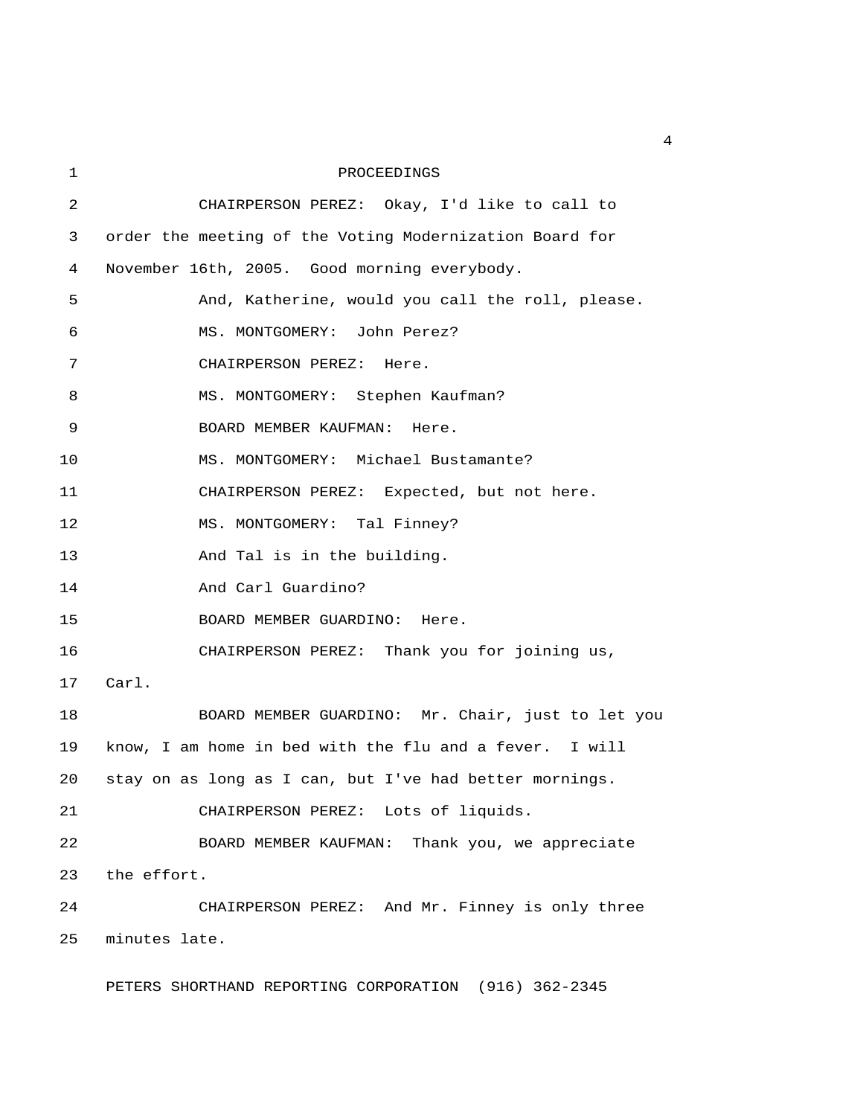1 PROCEEDINGS 2 CHAIRPERSON PEREZ: Okay, I'd like to call to 3 order the meeting of the Voting Modernization Board for 4 November 16th, 2005. Good morning everybody. 5 And, Katherine, would you call the roll, please. 6 MS. MONTGOMERY: John Perez? 7 CHAIRPERSON PEREZ: Here. 8 MS. MONTGOMERY: Stephen Kaufman? 9 BOARD MEMBER KAUFMAN: Here. 10 MS. MONTGOMERY: Michael Bustamante? 11 CHAIRPERSON PEREZ: Expected, but not here. 12 MS. MONTGOMERY: Tal Finney? 13 And Tal is in the building. 14 And Carl Guardino? 15 BOARD MEMBER GUARDINO: Here. 16 CHAIRPERSON PEREZ: Thank you for joining us, 17 Carl. 18 BOARD MEMBER GUARDINO: Mr. Chair, just to let you 19 know, I am home in bed with the flu and a fever. I will 20 stay on as long as I can, but I've had better mornings. 21 CHAIRPERSON PEREZ: Lots of liquids. 22 BOARD MEMBER KAUFMAN: Thank you, we appreciate 23 the effort. 24 CHAIRPERSON PEREZ: And Mr. Finney is only three 25 minutes late.

PETERS SHORTHAND REPORTING CORPORATION (916) 362-2345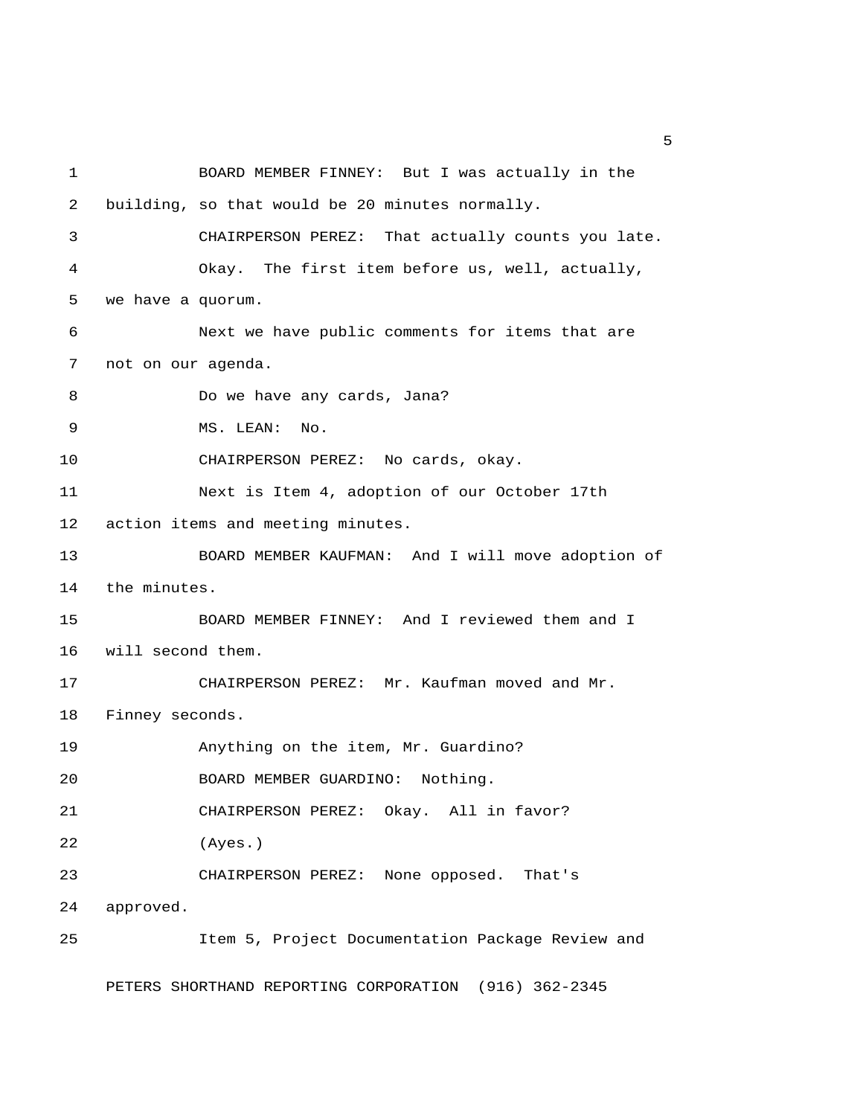1 BOARD MEMBER FINNEY: But I was actually in the 2 building, so that would be 20 minutes normally. 3 CHAIRPERSON PEREZ: That actually counts you late. 4 Okay. The first item before us, well, actually, 5 we have a quorum. 6 Next we have public comments for items that are 7 not on our agenda. 8 Do we have any cards, Jana? 9 MS. LEAN: No. 10 CHAIRPERSON PEREZ: No cards, okay. 11 Next is Item 4, adoption of our October 17th 12 action items and meeting minutes. 13 BOARD MEMBER KAUFMAN: And I will move adoption of 14 the minutes. 15 BOARD MEMBER FINNEY: And I reviewed them and I 16 will second them. 17 CHAIRPERSON PEREZ: Mr. Kaufman moved and Mr. 18 Finney seconds. 19 Anything on the item, Mr. Guardino? 20 BOARD MEMBER GUARDINO: Nothing. 21 CHAIRPERSON PEREZ: Okay. All in favor? 22 (Ayes.) 23 CHAIRPERSON PEREZ: None opposed. That's 24 approved. 25 Item 5, Project Documentation Package Review and

PETERS SHORTHAND REPORTING CORPORATION (916) 362-2345

 $\sim$  5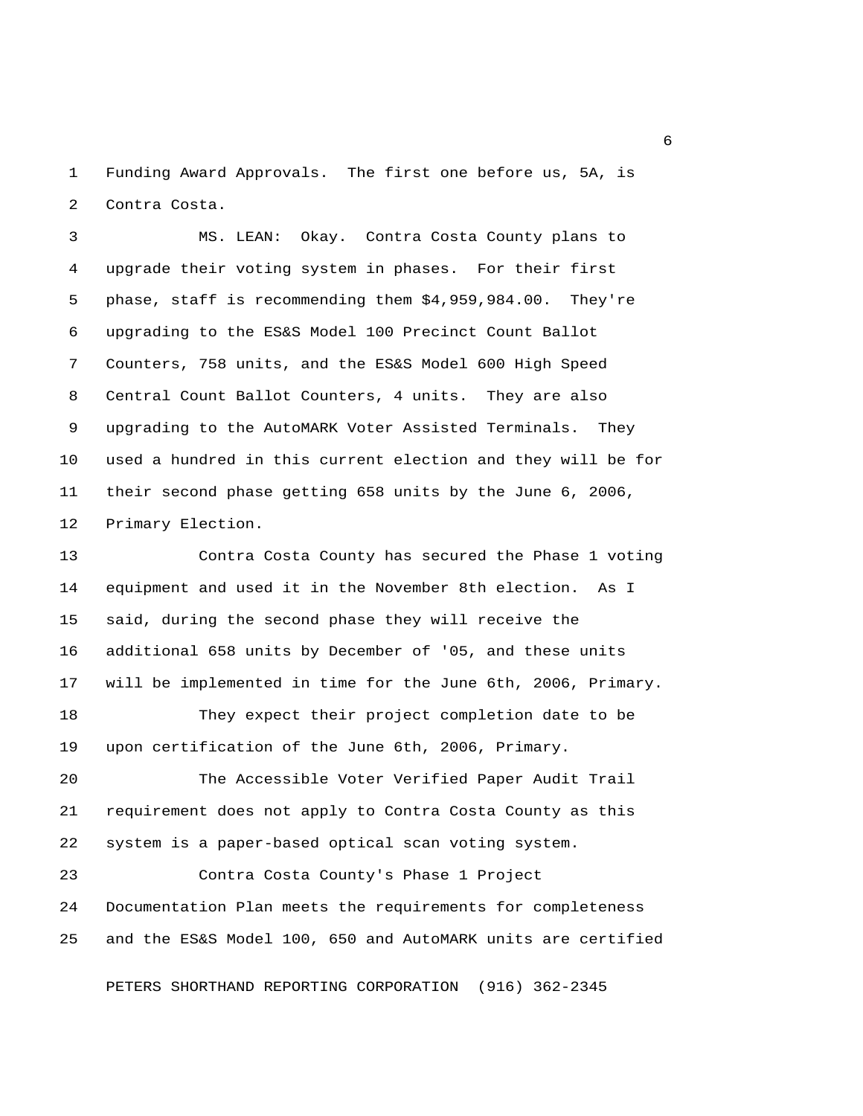1 Funding Award Approvals. The first one before us, 5A, is 2 Contra Costa.

 3 MS. LEAN: Okay. Contra Costa County plans to 4 upgrade their voting system in phases. For their first 5 phase, staff is recommending them \$4,959,984.00. They're 6 upgrading to the ES&S Model 100 Precinct Count Ballot 7 Counters, 758 units, and the ES&S Model 600 High Speed 8 Central Count Ballot Counters, 4 units. They are also 9 upgrading to the AutoMARK Voter Assisted Terminals. They 10 used a hundred in this current election and they will be for 11 their second phase getting 658 units by the June 6, 2006, 12 Primary Election.

13 Contra Costa County has secured the Phase 1 voting 14 equipment and used it in the November 8th election. As I 15 said, during the second phase they will receive the 16 additional 658 units by December of '05, and these units 17 will be implemented in time for the June 6th, 2006, Primary.

18 They expect their project completion date to be 19 upon certification of the June 6th, 2006, Primary.

20 The Accessible Voter Verified Paper Audit Trail 21 requirement does not apply to Contra Costa County as this 22 system is a paper-based optical scan voting system.

23 Contra Costa County's Phase 1 Project 24 Documentation Plan meets the requirements for completeness 25 and the ES&S Model 100, 650 and AutoMARK units are certified

PETERS SHORTHAND REPORTING CORPORATION (916) 362-2345

 $\overline{6}$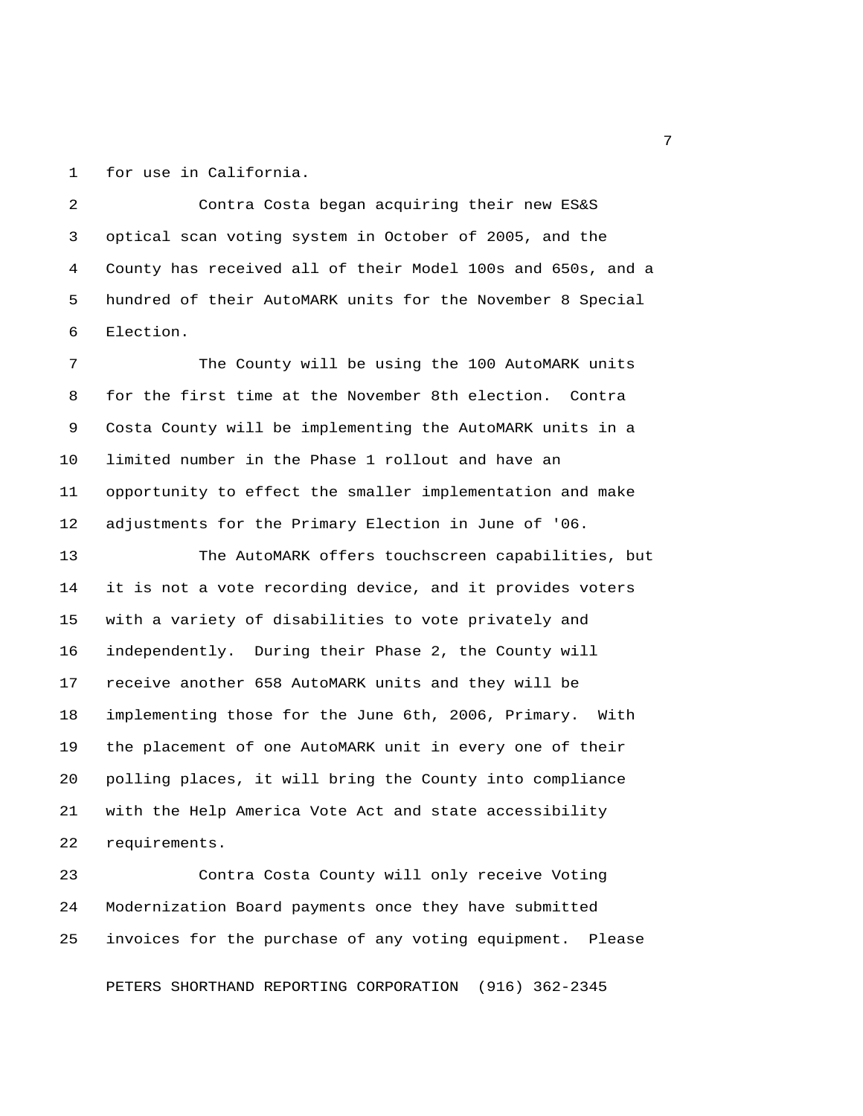1 for use in California.

 2 Contra Costa began acquiring their new ES&S 3 optical scan voting system in October of 2005, and the 4 County has received all of their Model 100s and 650s, and a 5 hundred of their AutoMARK units for the November 8 Special 6 Election.

 7 The County will be using the 100 AutoMARK units 8 for the first time at the November 8th election. Contra 9 Costa County will be implementing the AutoMARK units in a 10 limited number in the Phase 1 rollout and have an 11 opportunity to effect the smaller implementation and make 12 adjustments for the Primary Election in June of '06.

13 The AutoMARK offers touchscreen capabilities, but 14 it is not a vote recording device, and it provides voters 15 with a variety of disabilities to vote privately and 16 independently. During their Phase 2, the County will 17 receive another 658 AutoMARK units and they will be 18 implementing those for the June 6th, 2006, Primary. With 19 the placement of one AutoMARK unit in every one of their 20 polling places, it will bring the County into compliance 21 with the Help America Vote Act and state accessibility 22 requirements.

23 Contra Costa County will only receive Voting 24 Modernization Board payments once they have submitted 25 invoices for the purchase of any voting equipment. Please

PETERS SHORTHAND REPORTING CORPORATION (916) 362-2345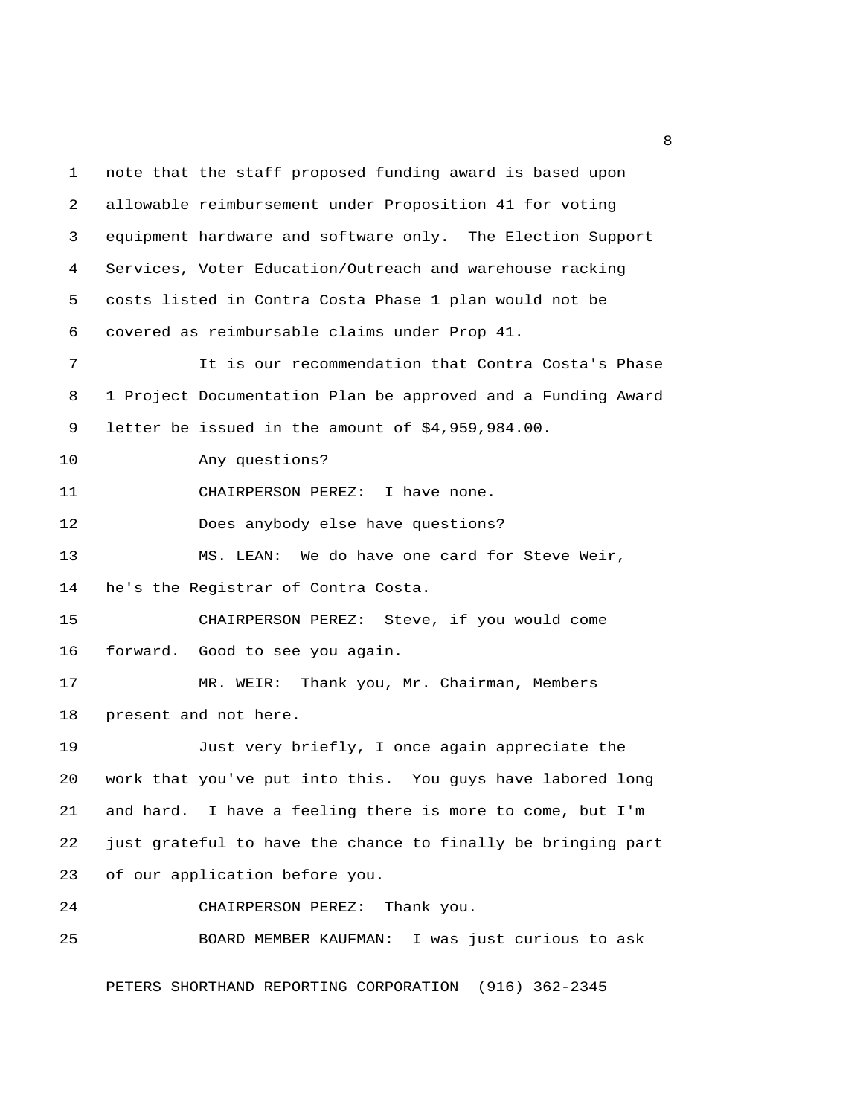1 note that the staff proposed funding award is based upon 2 allowable reimbursement under Proposition 41 for voting 3 equipment hardware and software only. The Election Support 4 Services, Voter Education/Outreach and warehouse racking 5 costs listed in Contra Costa Phase 1 plan would not be 6 covered as reimbursable claims under Prop 41. 7 It is our recommendation that Contra Costa's Phase 8 1 Project Documentation Plan be approved and a Funding Award 9 letter be issued in the amount of \$4,959,984.00. 10 Any questions? 11 CHAIRPERSON PEREZ: I have none. 12 Does anybody else have questions? 13 MS. LEAN: We do have one card for Steve Weir, 14 he's the Registrar of Contra Costa. 15 CHAIRPERSON PEREZ: Steve, if you would come 16 forward. Good to see you again. 17 MR. WEIR: Thank you, Mr. Chairman, Members 18 present and not here. 19 Just very briefly, I once again appreciate the 20 work that you've put into this. You guys have labored long 21 and hard. I have a feeling there is more to come, but I'm 22 just grateful to have the chance to finally be bringing part 23 of our application before you. 24 CHAIRPERSON PEREZ: Thank you. 25 BOARD MEMBER KAUFMAN: I was just curious to ask

PETERS SHORTHAND REPORTING CORPORATION (916) 362-2345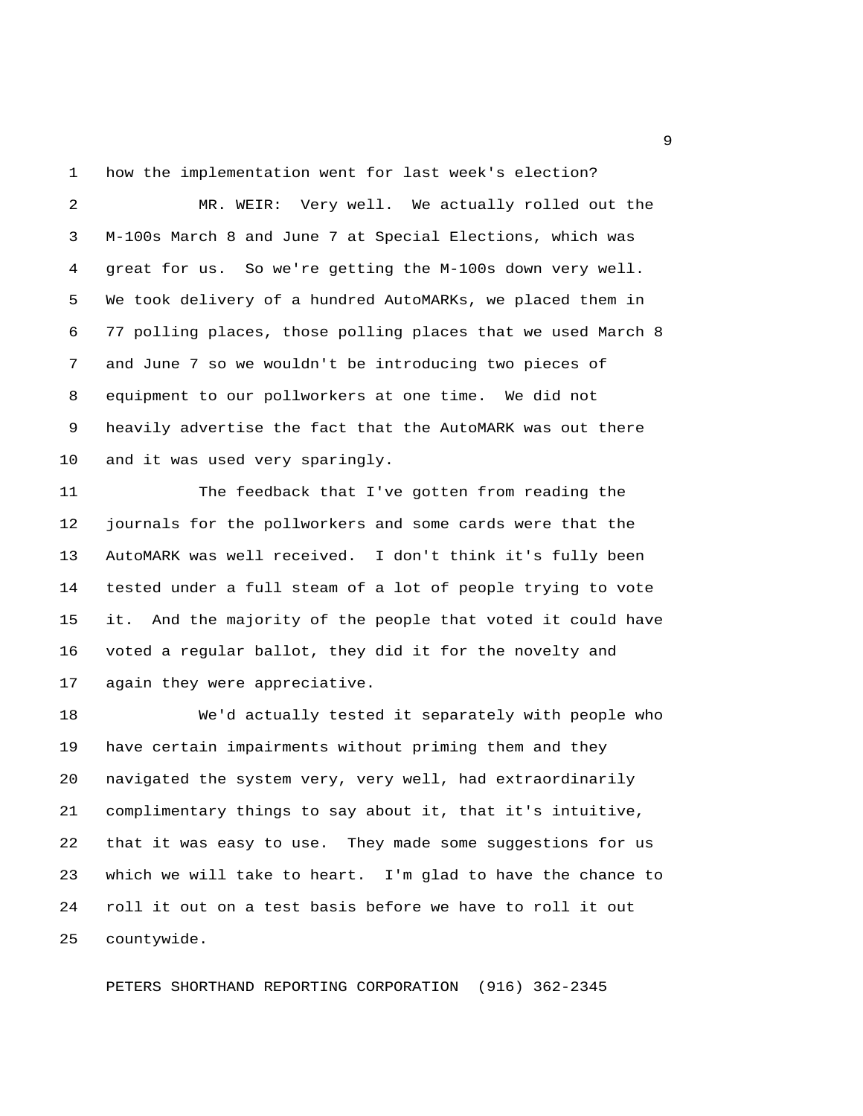1 how the implementation went for last week's election?

 2 MR. WEIR: Very well. We actually rolled out the 3 M-100s March 8 and June 7 at Special Elections, which was 4 great for us. So we're getting the M-100s down very well. 5 We took delivery of a hundred AutoMARKs, we placed them in 6 77 polling places, those polling places that we used March 8 7 and June 7 so we wouldn't be introducing two pieces of 8 equipment to our pollworkers at one time. We did not 9 heavily advertise the fact that the AutoMARK was out there 10 and it was used very sparingly.

11 The feedback that I've gotten from reading the 12 journals for the pollworkers and some cards were that the 13 AutoMARK was well received. I don't think it's fully been 14 tested under a full steam of a lot of people trying to vote 15 it. And the majority of the people that voted it could have 16 voted a regular ballot, they did it for the novelty and 17 again they were appreciative.

18 We'd actually tested it separately with people who 19 have certain impairments without priming them and they 20 navigated the system very, very well, had extraordinarily 21 complimentary things to say about it, that it's intuitive, 22 that it was easy to use. They made some suggestions for us 23 which we will take to heart. I'm glad to have the chance to 24 roll it out on a test basis before we have to roll it out 25 countywide.

PETERS SHORTHAND REPORTING CORPORATION (916) 362-2345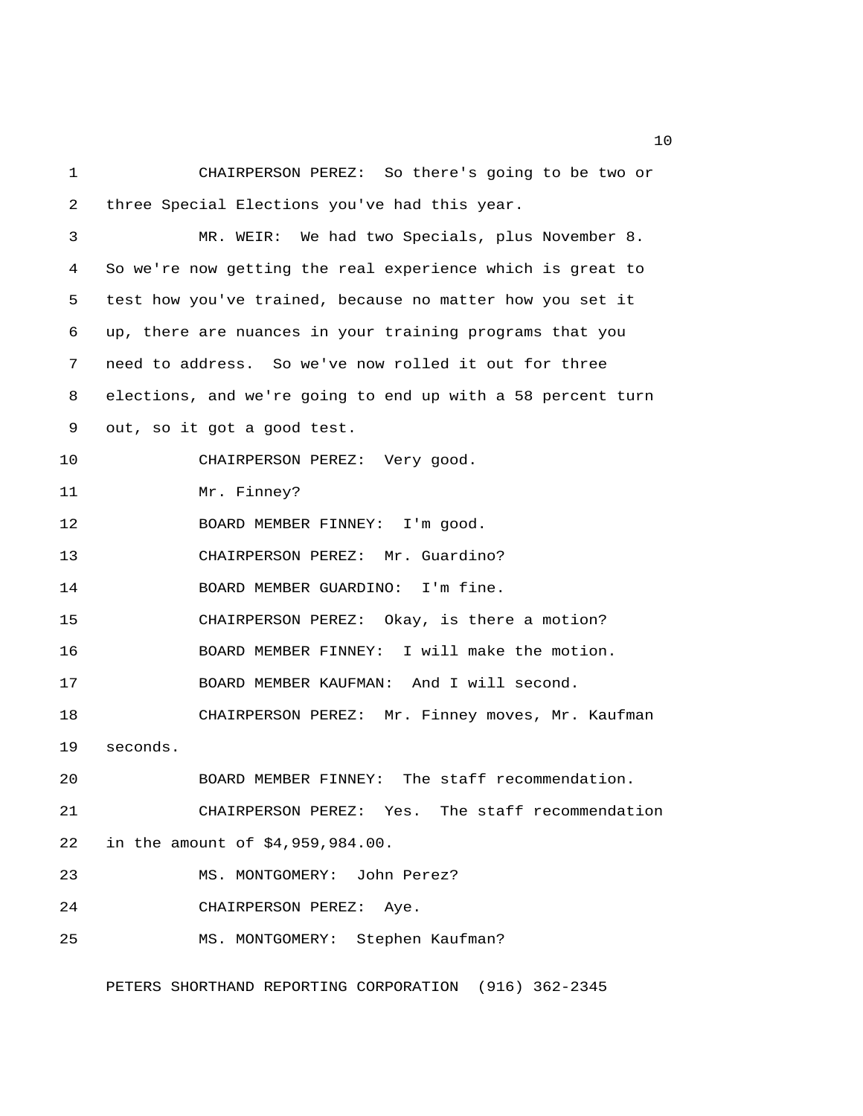1 CHAIRPERSON PEREZ: So there's going to be two or 2 three Special Elections you've had this year. 3 MR. WEIR: We had two Specials, plus November 8. 4 So we're now getting the real experience which is great to 5 test how you've trained, because no matter how you set it 6 up, there are nuances in your training programs that you 7 need to address. So we've now rolled it out for three 8 elections, and we're going to end up with a 58 percent turn 9 out, so it got a good test. 10 CHAIRPERSON PEREZ: Very good. 11 Mr. Finney? 12 BOARD MEMBER FINNEY: I'm good. 13 CHAIRPERSON PEREZ: Mr. Guardino? 14 BOARD MEMBER GUARDINO: I'm fine. 15 CHAIRPERSON PEREZ: Okay, is there a motion? 16 BOARD MEMBER FINNEY: I will make the motion. 17 BOARD MEMBER KAUFMAN: And I will second. 18 CHAIRPERSON PEREZ: Mr. Finney moves, Mr. Kaufman 19 seconds. 20 BOARD MEMBER FINNEY: The staff recommendation. 21 CHAIRPERSON PEREZ: Yes. The staff recommendation 22 in the amount of \$4,959,984.00. 23 MS. MONTGOMERY: John Perez? 24 CHAIRPERSON PEREZ: Aye. 25 MS. MONTGOMERY: Stephen Kaufman?

PETERS SHORTHAND REPORTING CORPORATION (916) 362-2345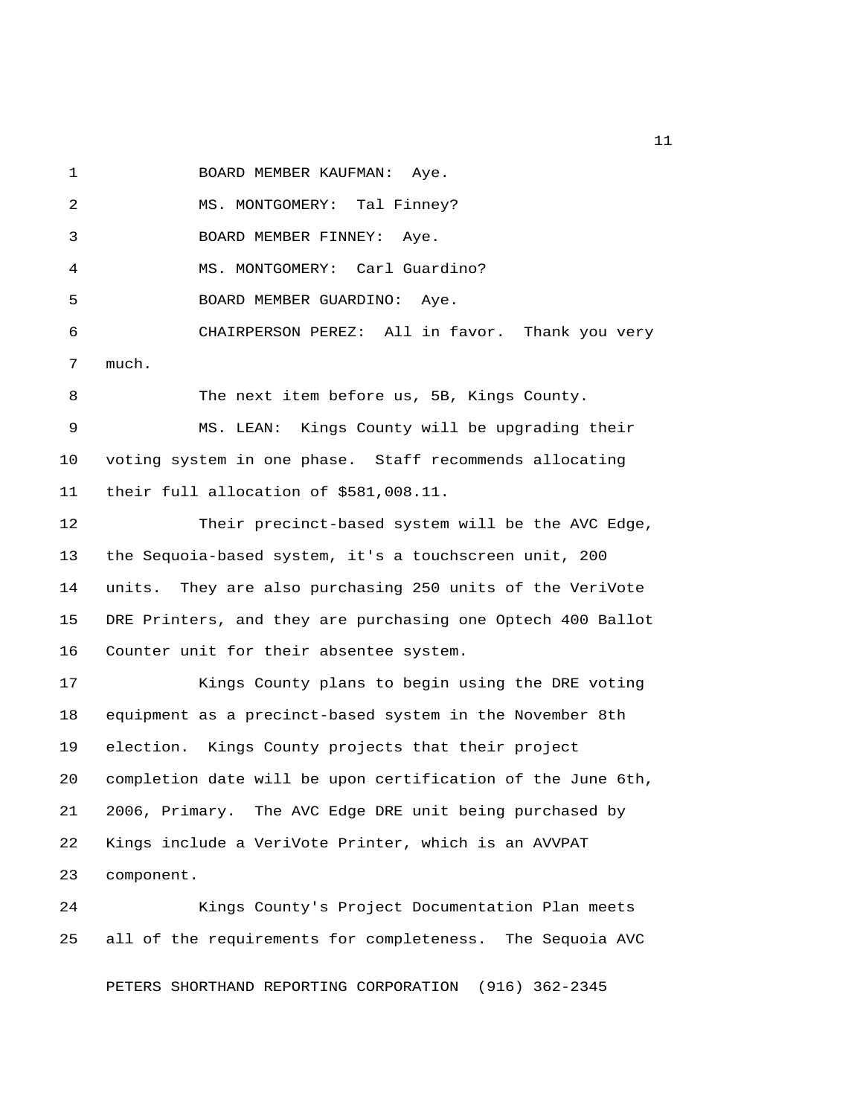1 BOARD MEMBER KAUFMAN: Aye.

2 MS. MONTGOMERY: Tal Finney? 3 BOARD MEMBER FINNEY: Aye. 4 MS. MONTGOMERY: Carl Guardino? 5 BOARD MEMBER GUARDINO: Aye. 6 CHAIRPERSON PEREZ: All in favor. Thank you very 7 much. 8 The next item before us, 5B, Kings County. 9 MS. LEAN: Kings County will be upgrading their 10 voting system in one phase. Staff recommends allocating 11 their full allocation of \$581,008.11.

12 Their precinct-based system will be the AVC Edge, 13 the Sequoia-based system, it's a touchscreen unit, 200 14 units. They are also purchasing 250 units of the VeriVote 15 DRE Printers, and they are purchasing one Optech 400 Ballot 16 Counter unit for their absentee system.

17 Kings County plans to begin using the DRE voting 18 equipment as a precinct-based system in the November 8th 19 election. Kings County projects that their project 20 completion date will be upon certification of the June 6th, 21 2006, Primary. The AVC Edge DRE unit being purchased by 22 Kings include a VeriVote Printer, which is an AVVPAT 23 component.

24 Kings County's Project Documentation Plan meets 25 all of the requirements for completeness. The Sequoia AVC

PETERS SHORTHAND REPORTING CORPORATION (916) 362-2345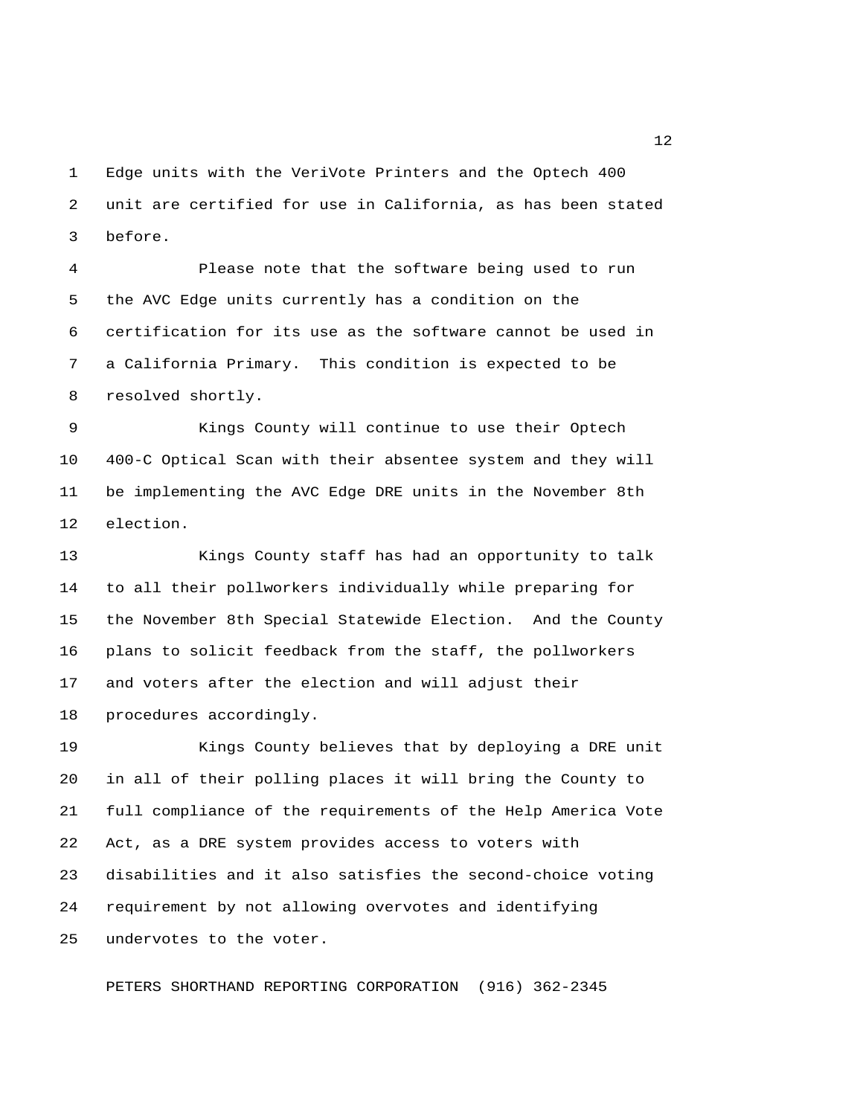1 Edge units with the VeriVote Printers and the Optech 400 2 unit are certified for use in California, as has been stated 3 before.

 4 Please note that the software being used to run 5 the AVC Edge units currently has a condition on the 6 certification for its use as the software cannot be used in 7 a California Primary. This condition is expected to be 8 resolved shortly.

 9 Kings County will continue to use their Optech 10 400-C Optical Scan with their absentee system and they will 11 be implementing the AVC Edge DRE units in the November 8th 12 election.

13 Kings County staff has had an opportunity to talk 14 to all their pollworkers individually while preparing for 15 the November 8th Special Statewide Election. And the County 16 plans to solicit feedback from the staff, the pollworkers 17 and voters after the election and will adjust their 18 procedures accordingly.

19 Kings County believes that by deploying a DRE unit 20 in all of their polling places it will bring the County to 21 full compliance of the requirements of the Help America Vote 22 Act, as a DRE system provides access to voters with 23 disabilities and it also satisfies the second-choice voting 24 requirement by not allowing overvotes and identifying 25 undervotes to the voter.

PETERS SHORTHAND REPORTING CORPORATION (916) 362-2345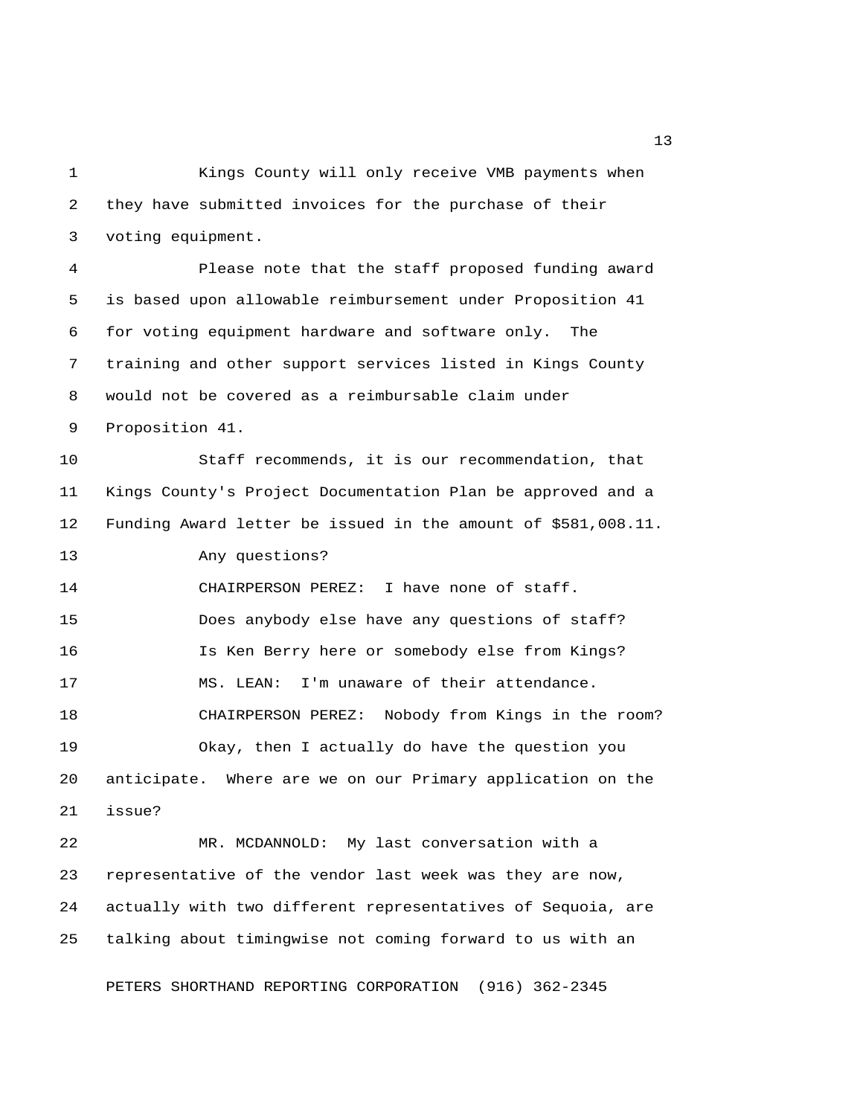1 Kings County will only receive VMB payments when 2 they have submitted invoices for the purchase of their 3 voting equipment.

 4 Please note that the staff proposed funding award 5 is based upon allowable reimbursement under Proposition 41 6 for voting equipment hardware and software only. The 7 training and other support services listed in Kings County 8 would not be covered as a reimbursable claim under 9 Proposition 41.

10 Staff recommends, it is our recommendation, that 11 Kings County's Project Documentation Plan be approved and a 12 Funding Award letter be issued in the amount of \$581,008.11. 13 Any questions?

14 CHAIRPERSON PEREZ: I have none of staff. 15 Does anybody else have any questions of staff? 16 Is Ken Berry here or somebody else from Kings? 17 MS. LEAN: I'm unaware of their attendance. 18 CHAIRPERSON PEREZ: Nobody from Kings in the room? 19 Okay, then I actually do have the question you 20 anticipate. Where are we on our Primary application on the

21 issue?

22 MR. MCDANNOLD: My last conversation with a 23 representative of the vendor last week was they are now, 24 actually with two different representatives of Sequoia, are 25 talking about timingwise not coming forward to us with an

PETERS SHORTHAND REPORTING CORPORATION (916) 362-2345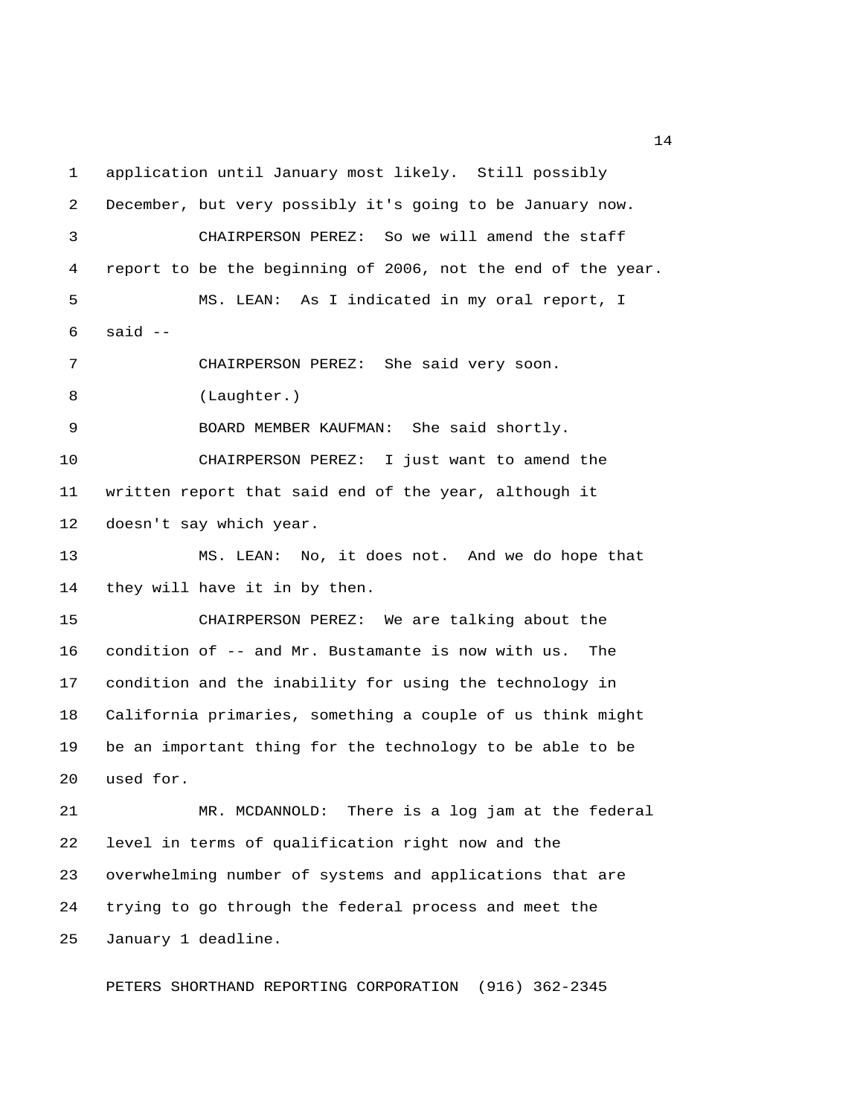1 application until January most likely. Still possibly 2 December, but very possibly it's going to be January now. 3 CHAIRPERSON PEREZ: So we will amend the staff 4 report to be the beginning of 2006, not the end of the year. 5 MS. LEAN: As I indicated in my oral report, I  $6$  said  $-$  7 CHAIRPERSON PEREZ: She said very soon. 8 (Laughter.) 9 BOARD MEMBER KAUFMAN: She said shortly. 10 CHAIRPERSON PEREZ: I just want to amend the 11 written report that said end of the year, although it 12 doesn't say which year. 13 MS. LEAN: No, it does not. And we do hope that 14 they will have it in by then. 15 CHAIRPERSON PEREZ: We are talking about the 16 condition of -- and Mr. Bustamante is now with us. The 17 condition and the inability for using the technology in 18 California primaries, something a couple of us think might 19 be an important thing for the technology to be able to be 20 used for. 21 MR. MCDANNOLD: There is a log jam at the federal 22 level in terms of qualification right now and the 23 overwhelming number of systems and applications that are 24 trying to go through the federal process and meet the

PETERS SHORTHAND REPORTING CORPORATION (916) 362-2345

25 January 1 deadline.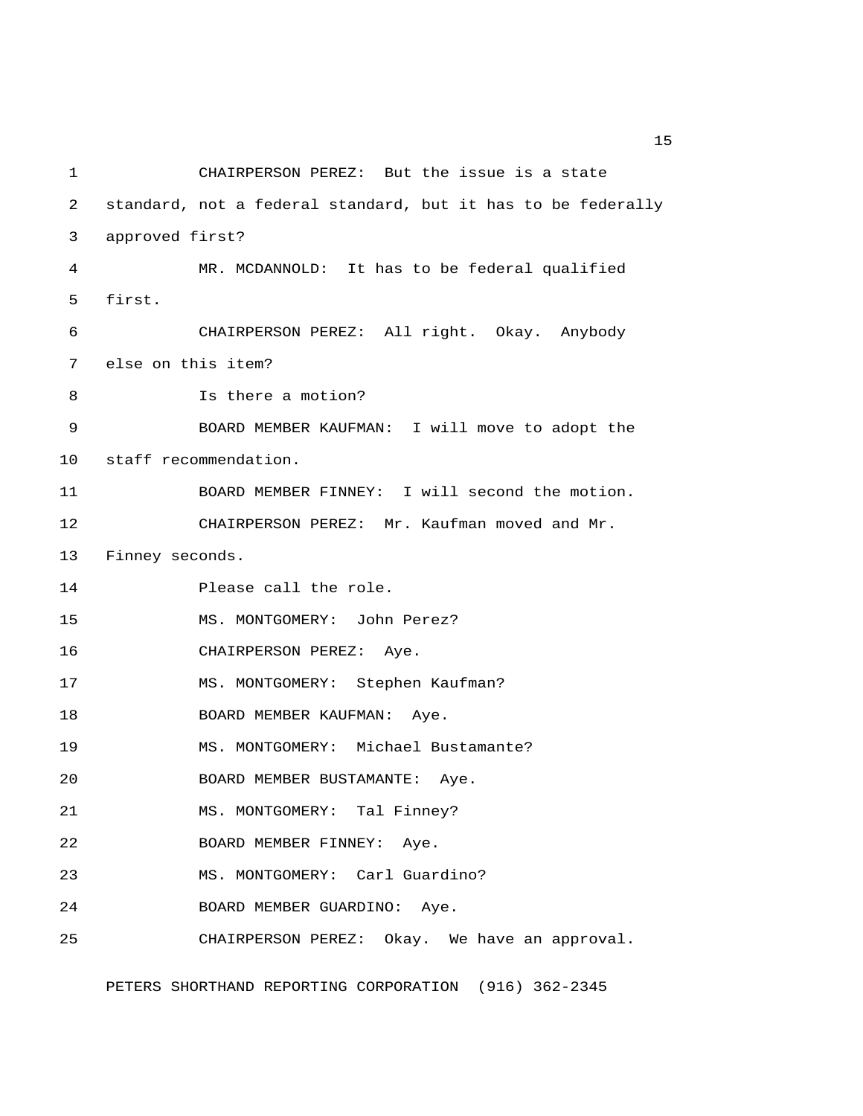1 CHAIRPERSON PEREZ: But the issue is a state 2 standard, not a federal standard, but it has to be federally 3 approved first? 4 MR. MCDANNOLD: It has to be federal qualified 5 first. 6 CHAIRPERSON PEREZ: All right. Okay. Anybody 7 else on this item? 8 Is there a motion? 9 BOARD MEMBER KAUFMAN: I will move to adopt the 10 staff recommendation. 11 BOARD MEMBER FINNEY: I will second the motion. 12 CHAIRPERSON PEREZ: Mr. Kaufman moved and Mr. 13 Finney seconds. 14 Please call the role. 15 MS. MONTGOMERY: John Perez? 16 CHAIRPERSON PEREZ: Aye. 17 MS. MONTGOMERY: Stephen Kaufman? 18 BOARD MEMBER KAUFMAN: Aye. 19 MS. MONTGOMERY: Michael Bustamante? 20 BOARD MEMBER BUSTAMANTE: Aye. 21 MS. MONTGOMERY: Tal Finney? 22 BOARD MEMBER FINNEY: Aye. 23 MS. MONTGOMERY: Carl Guardino? 24 BOARD MEMBER GUARDINO: Aye. 25 CHAIRPERSON PEREZ: Okay. We have an approval.

PETERS SHORTHAND REPORTING CORPORATION (916) 362-2345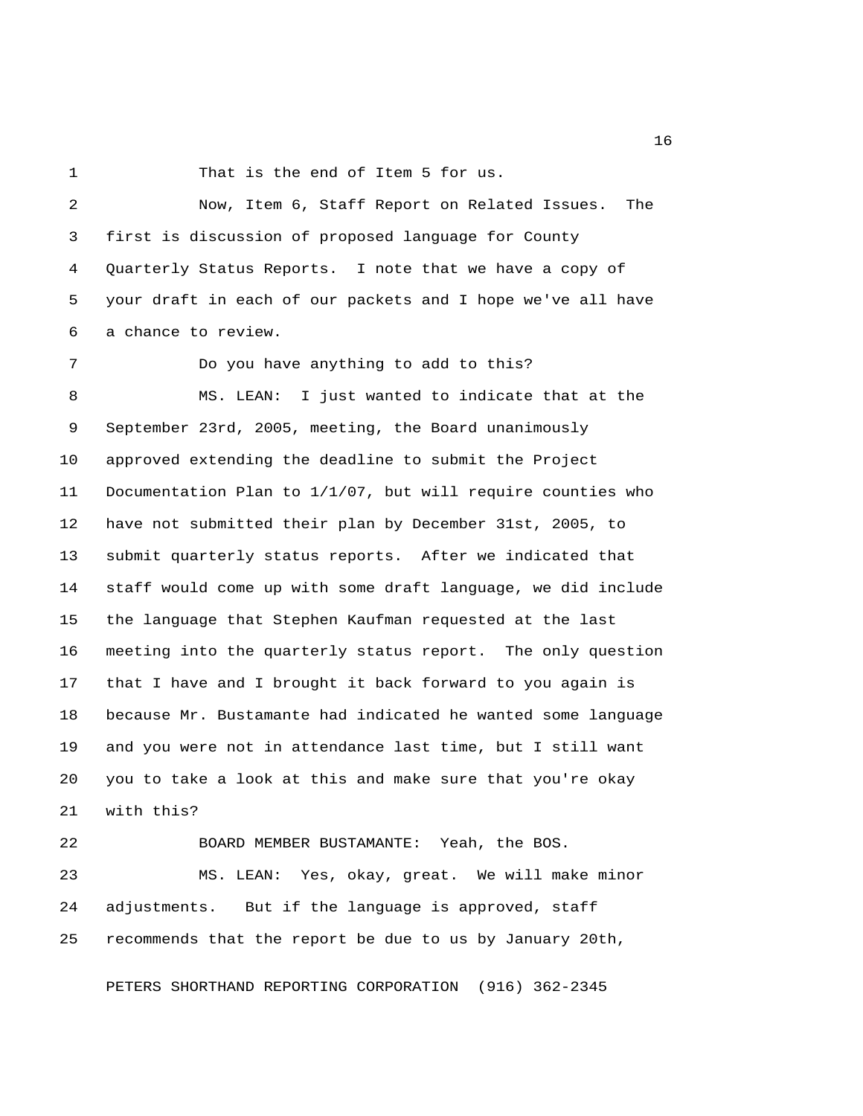1 That is the end of Item 5 for us.

 2 Now, Item 6, Staff Report on Related Issues. The 3 first is discussion of proposed language for County 4 Quarterly Status Reports. I note that we have a copy of 5 your draft in each of our packets and I hope we've all have 6 a chance to review.

 7 Do you have anything to add to this? 8 MS. LEAN: I just wanted to indicate that at the 9 September 23rd, 2005, meeting, the Board unanimously 10 approved extending the deadline to submit the Project 11 Documentation Plan to 1/1/07, but will require counties who 12 have not submitted their plan by December 31st, 2005, to 13 submit quarterly status reports. After we indicated that 14 staff would come up with some draft language, we did include 15 the language that Stephen Kaufman requested at the last 16 meeting into the quarterly status report. The only question 17 that I have and I brought it back forward to you again is 18 because Mr. Bustamante had indicated he wanted some language 19 and you were not in attendance last time, but I still want 20 you to take a look at this and make sure that you're okay 21 with this?

22 BOARD MEMBER BUSTAMANTE: Yeah, the BOS. 23 MS. LEAN: Yes, okay, great. We will make minor 24 adjustments. But if the language is approved, staff 25 recommends that the report be due to us by January 20th,

PETERS SHORTHAND REPORTING CORPORATION (916) 362-2345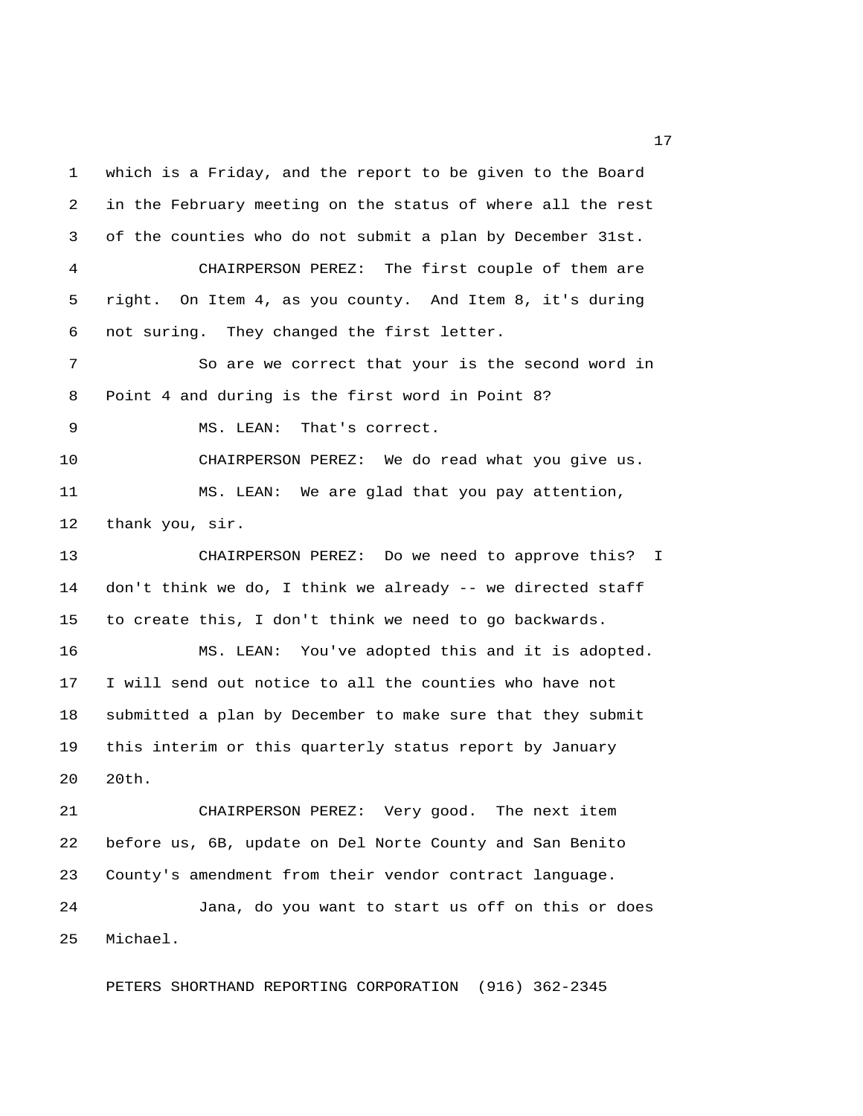1 which is a Friday, and the report to be given to the Board 2 in the February meeting on the status of where all the rest 3 of the counties who do not submit a plan by December 31st. 4 CHAIRPERSON PEREZ: The first couple of them are 5 right. On Item 4, as you county. And Item 8, it's during 6 not suring. They changed the first letter. 7 So are we correct that your is the second word in 8 Point 4 and during is the first word in Point 8? 9 MS. LEAN: That's correct. 10 CHAIRPERSON PEREZ: We do read what you give us. 11 MS. LEAN: We are glad that you pay attention, 12 thank you, sir. 13 CHAIRPERSON PEREZ: Do we need to approve this? I 14 don't think we do, I think we already -- we directed staff 15 to create this, I don't think we need to go backwards. 16 MS. LEAN: You've adopted this and it is adopted. 17 I will send out notice to all the counties who have not 18 submitted a plan by December to make sure that they submit 19 this interim or this quarterly status report by January 20 20th. 21 CHAIRPERSON PEREZ: Very good. The next item 22 before us, 6B, update on Del Norte County and San Benito 23 County's amendment from their vendor contract language. 24 Jana, do you want to start us off on this or does 25 Michael.

PETERS SHORTHAND REPORTING CORPORATION (916) 362-2345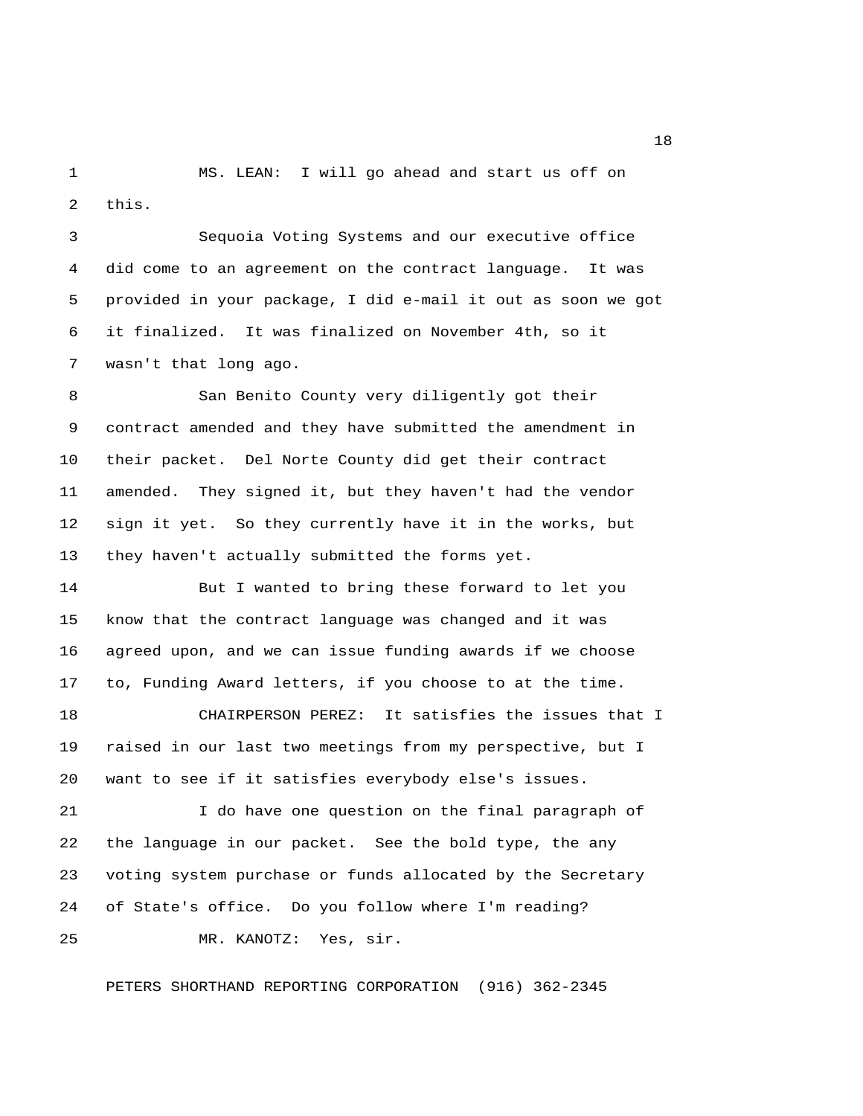1 MS. LEAN: I will go ahead and start us off on 2 this.

 3 Sequoia Voting Systems and our executive office 4 did come to an agreement on the contract language. It was 5 provided in your package, I did e-mail it out as soon we got 6 it finalized. It was finalized on November 4th, so it 7 wasn't that long ago.

 8 San Benito County very diligently got their 9 contract amended and they have submitted the amendment in 10 their packet. Del Norte County did get their contract 11 amended. They signed it, but they haven't had the vendor 12 sign it yet. So they currently have it in the works, but 13 they haven't actually submitted the forms yet.

14 But I wanted to bring these forward to let you 15 know that the contract language was changed and it was 16 agreed upon, and we can issue funding awards if we choose 17 to, Funding Award letters, if you choose to at the time.

18 CHAIRPERSON PEREZ: It satisfies the issues that I 19 raised in our last two meetings from my perspective, but I 20 want to see if it satisfies everybody else's issues.

21 I do have one question on the final paragraph of 22 the language in our packet. See the bold type, the any 23 voting system purchase or funds allocated by the Secretary 24 of State's office. Do you follow where I'm reading?

25 MR. KANOTZ: Yes, sir.

PETERS SHORTHAND REPORTING CORPORATION (916) 362-2345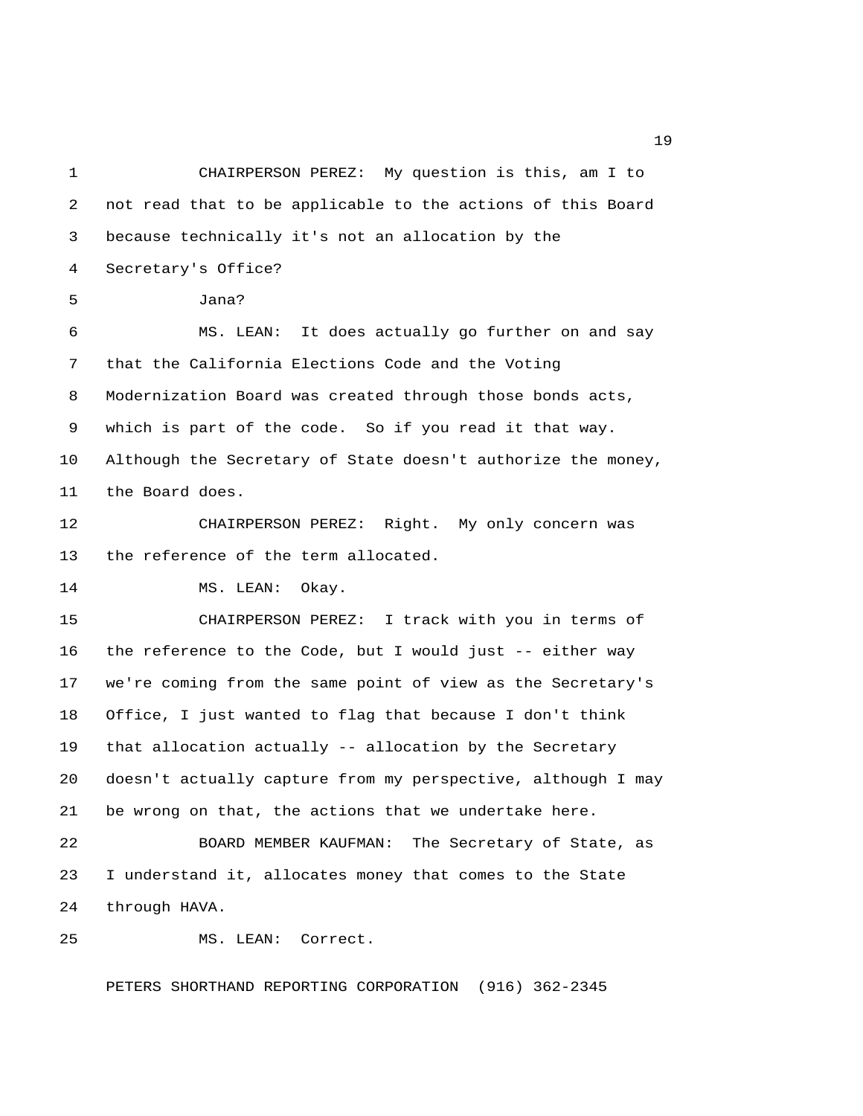1 CHAIRPERSON PEREZ: My question is this, am I to 2 not read that to be applicable to the actions of this Board 3 because technically it's not an allocation by the 4 Secretary's Office? 5 Jana? 6 MS. LEAN: It does actually go further on and say 7 that the California Elections Code and the Voting 8 Modernization Board was created through those bonds acts, 9 which is part of the code. So if you read it that way. 10 Although the Secretary of State doesn't authorize the money, 11 the Board does. 12 CHAIRPERSON PEREZ: Right. My only concern was 13 the reference of the term allocated. 14 MS. LEAN: Okay. 15 CHAIRPERSON PEREZ: I track with you in terms of 16 the reference to the Code, but I would just -- either way 17 we're coming from the same point of view as the Secretary's 18 Office, I just wanted to flag that because I don't think 19 that allocation actually -- allocation by the Secretary 20 doesn't actually capture from my perspective, although I may 21 be wrong on that, the actions that we undertake here. 22 BOARD MEMBER KAUFMAN: The Secretary of State, as 23 I understand it, allocates money that comes to the State 24 through HAVA. 25 MS. LEAN: Correct.

PETERS SHORTHAND REPORTING CORPORATION (916) 362-2345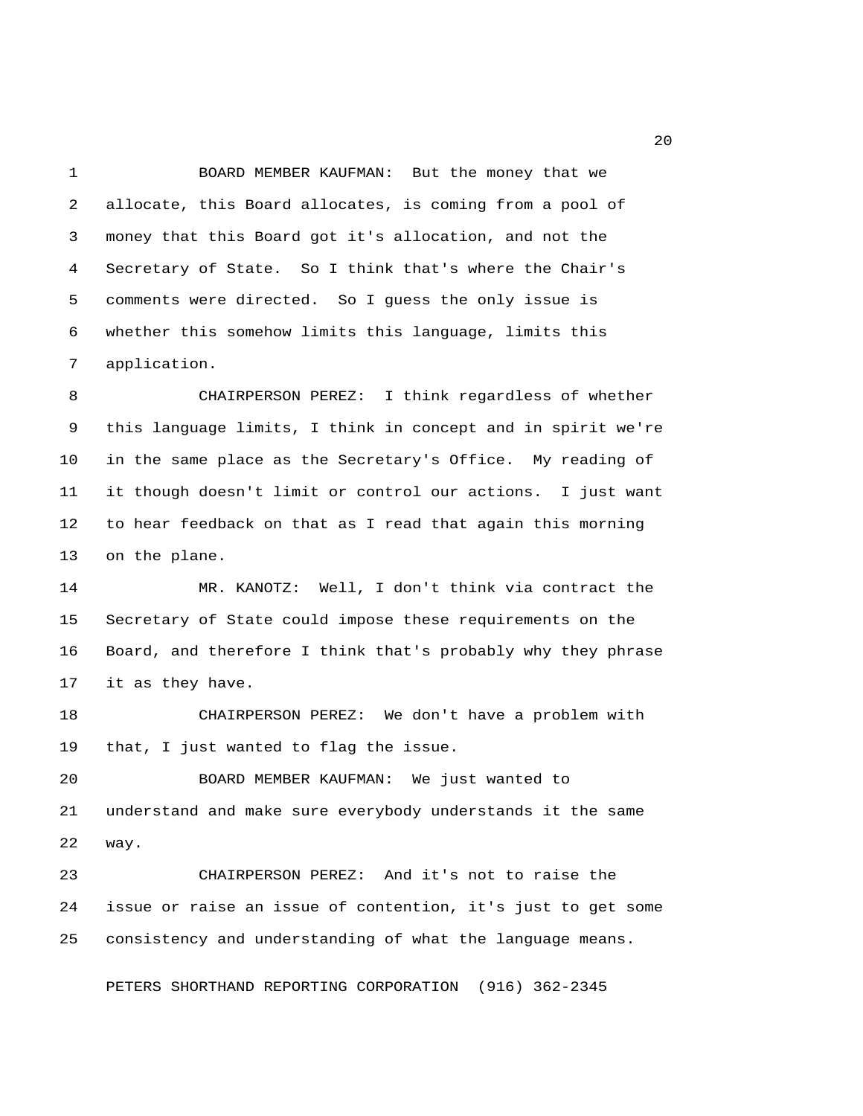1 BOARD MEMBER KAUFMAN: But the money that we 2 allocate, this Board allocates, is coming from a pool of 3 money that this Board got it's allocation, and not the 4 Secretary of State. So I think that's where the Chair's 5 comments were directed. So I guess the only issue is 6 whether this somehow limits this language, limits this 7 application.

 8 CHAIRPERSON PEREZ: I think regardless of whether 9 this language limits, I think in concept and in spirit we're 10 in the same place as the Secretary's Office. My reading of 11 it though doesn't limit or control our actions. I just want 12 to hear feedback on that as I read that again this morning 13 on the plane.

14 MR. KANOTZ: Well, I don't think via contract the 15 Secretary of State could impose these requirements on the 16 Board, and therefore I think that's probably why they phrase 17 it as they have.

18 CHAIRPERSON PEREZ: We don't have a problem with 19 that, I just wanted to flag the issue.

20 BOARD MEMBER KAUFMAN: We just wanted to 21 understand and make sure everybody understands it the same 22 way.

23 CHAIRPERSON PEREZ: And it's not to raise the 24 issue or raise an issue of contention, it's just to get some 25 consistency and understanding of what the language means.

PETERS SHORTHAND REPORTING CORPORATION (916) 362-2345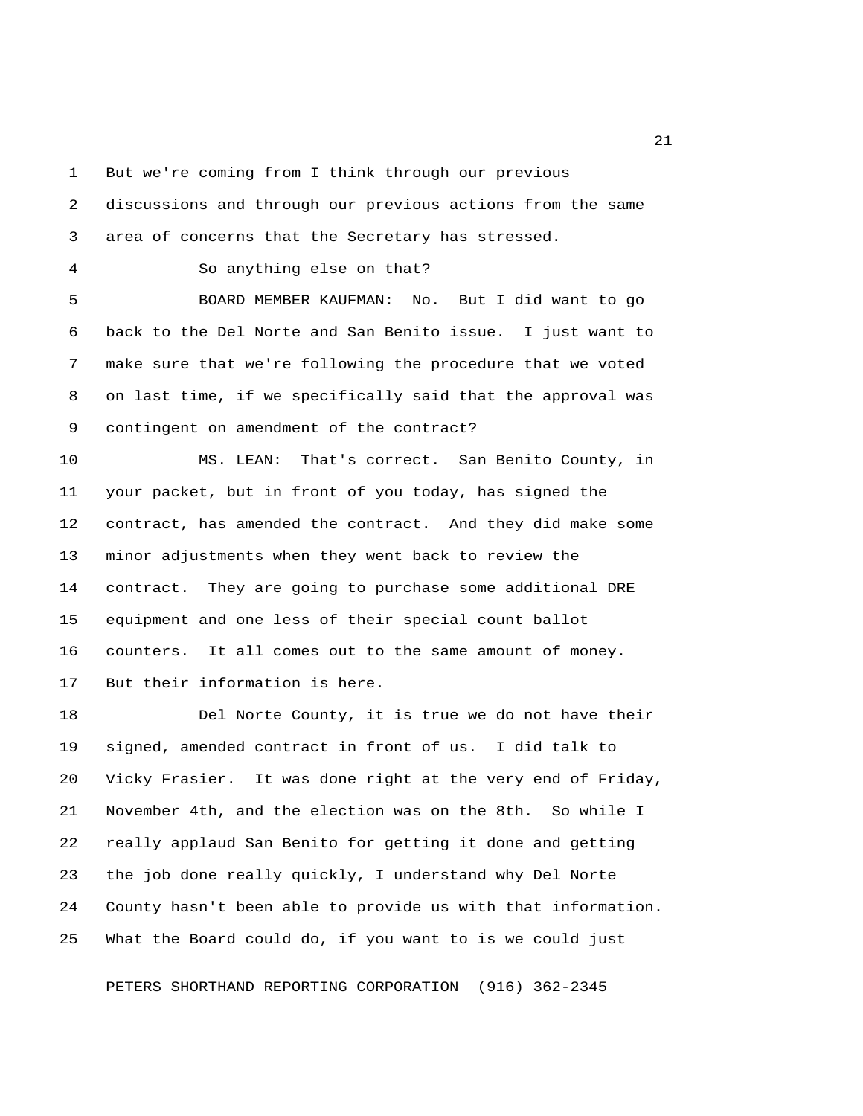1 But we're coming from I think through our previous

 2 discussions and through our previous actions from the same 3 area of concerns that the Secretary has stressed.

4 So anything else on that?

 5 BOARD MEMBER KAUFMAN: No. But I did want to go 6 back to the Del Norte and San Benito issue. I just want to 7 make sure that we're following the procedure that we voted 8 on last time, if we specifically said that the approval was 9 contingent on amendment of the contract?

10 MS. LEAN: That's correct. San Benito County, in 11 your packet, but in front of you today, has signed the 12 contract, has amended the contract. And they did make some 13 minor adjustments when they went back to review the 14 contract. They are going to purchase some additional DRE 15 equipment and one less of their special count ballot 16 counters. It all comes out to the same amount of money. 17 But their information is here.

18 Del Norte County, it is true we do not have their 19 signed, amended contract in front of us. I did talk to 20 Vicky Frasier. It was done right at the very end of Friday, 21 November 4th, and the election was on the 8th. So while I 22 really applaud San Benito for getting it done and getting 23 the job done really quickly, I understand why Del Norte 24 County hasn't been able to provide us with that information. 25 What the Board could do, if you want to is we could just

PETERS SHORTHAND REPORTING CORPORATION (916) 362-2345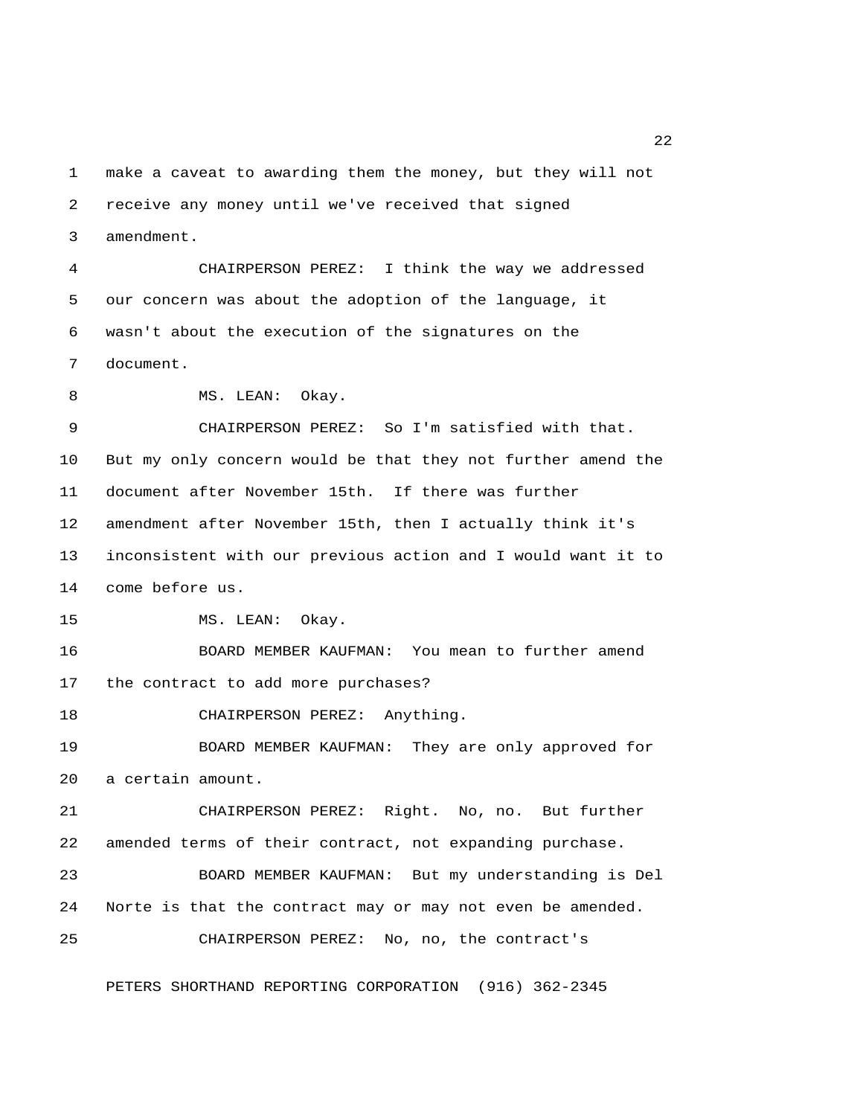1 make a caveat to awarding them the money, but they will not 2 receive any money until we've received that signed 3 amendment.

 4 CHAIRPERSON PEREZ: I think the way we addressed 5 our concern was about the adoption of the language, it 6 wasn't about the execution of the signatures on the 7 document.

8 MS. LEAN: Okay.

 9 CHAIRPERSON PEREZ: So I'm satisfied with that. 10 But my only concern would be that they not further amend the 11 document after November 15th. If there was further 12 amendment after November 15th, then I actually think it's 13 inconsistent with our previous action and I would want it to 14 come before us.

15 MS. LEAN: Okay.

16 BOARD MEMBER KAUFMAN: You mean to further amend 17 the contract to add more purchases?

18 CHAIRPERSON PEREZ: Anything.

19 BOARD MEMBER KAUFMAN: They are only approved for 20 a certain amount.

21 CHAIRPERSON PEREZ: Right. No, no. But further 22 amended terms of their contract, not expanding purchase.

23 BOARD MEMBER KAUFMAN: But my understanding is Del 24 Norte is that the contract may or may not even be amended.

25 CHAIRPERSON PEREZ: No, no, the contract's

PETERS SHORTHAND REPORTING CORPORATION (916) 362-2345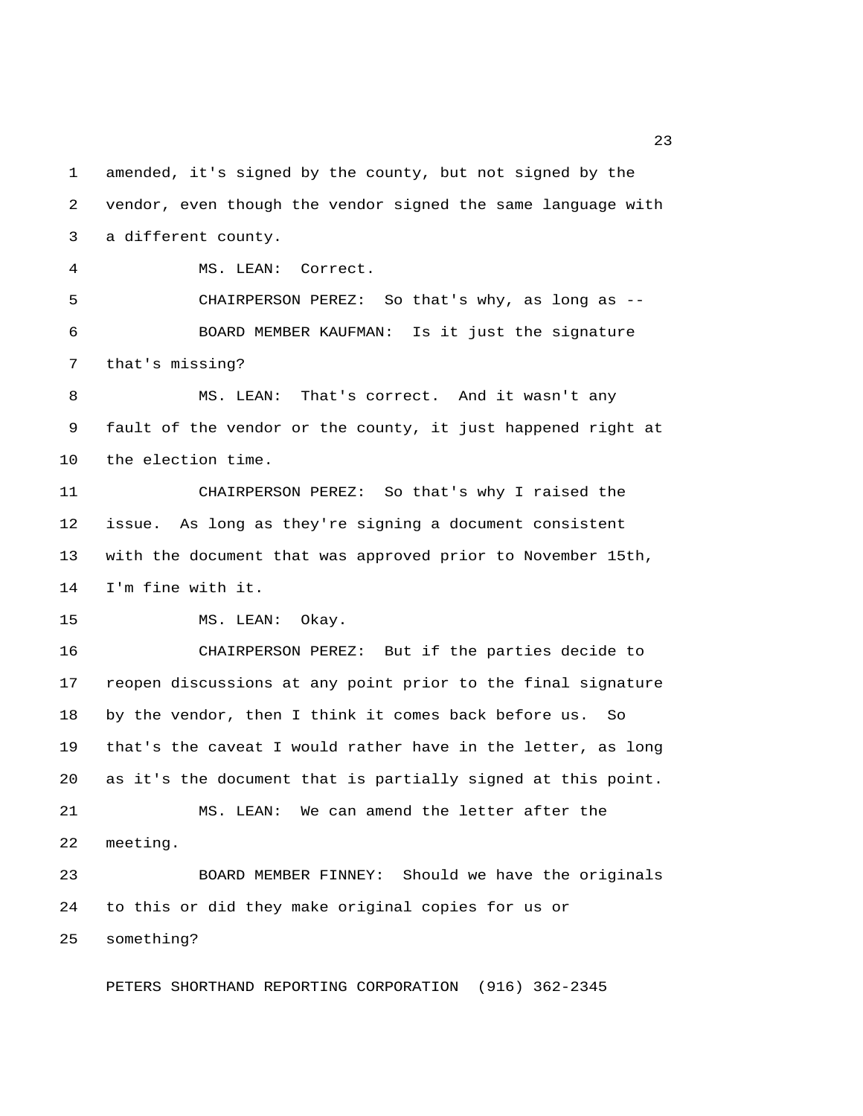1 amended, it's signed by the county, but not signed by the 2 vendor, even though the vendor signed the same language with 3 a different county.

4 MS. LEAN: Correct.

 5 CHAIRPERSON PEREZ: So that's why, as long as -- 6 BOARD MEMBER KAUFMAN: Is it just the signature 7 that's missing?

 8 MS. LEAN: That's correct. And it wasn't any 9 fault of the vendor or the county, it just happened right at 10 the election time.

11 CHAIRPERSON PEREZ: So that's why I raised the 12 issue. As long as they're signing a document consistent 13 with the document that was approved prior to November 15th, 14 I'm fine with it.

15 MS. LEAN: Okay.

16 CHAIRPERSON PEREZ: But if the parties decide to 17 reopen discussions at any point prior to the final signature 18 by the vendor, then I think it comes back before us. So 19 that's the caveat I would rather have in the letter, as long 20 as it's the document that is partially signed at this point. 21 MS. LEAN: We can amend the letter after the 22 meeting.

23 BOARD MEMBER FINNEY: Should we have the originals 24 to this or did they make original copies for us or 25 something?

PETERS SHORTHAND REPORTING CORPORATION (916) 362-2345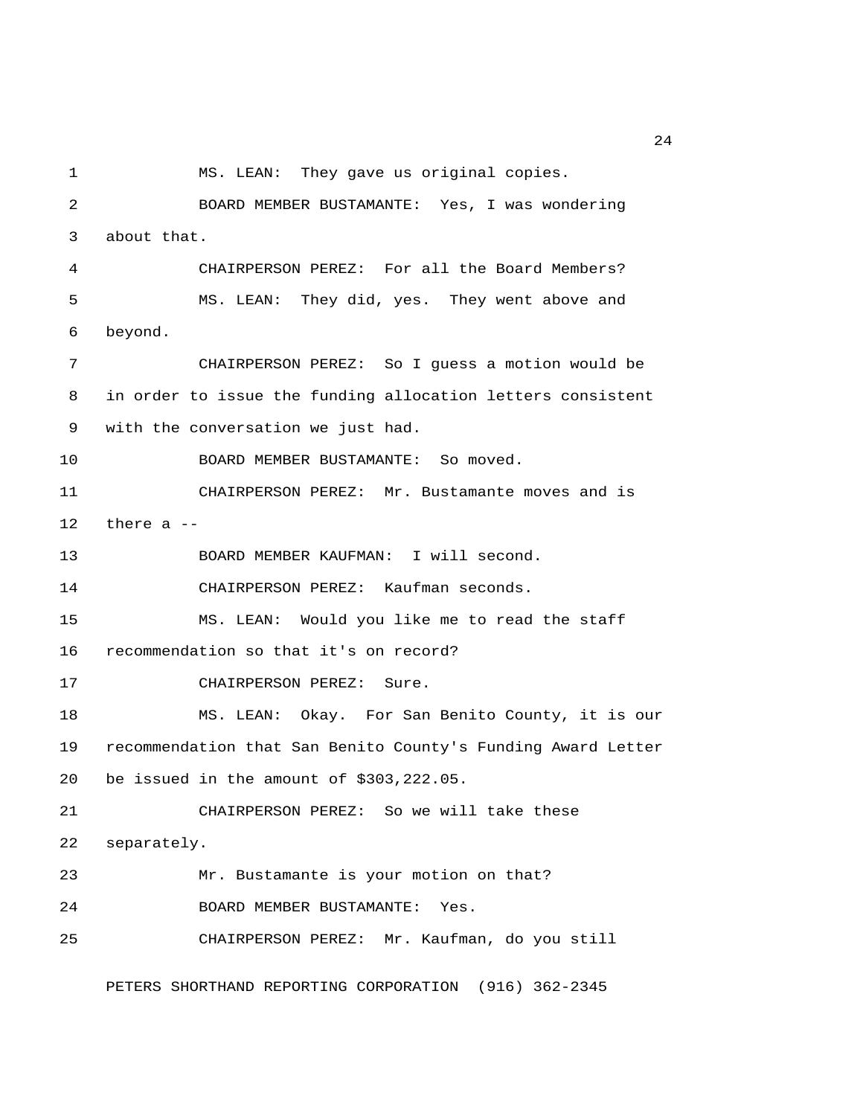1 MS. LEAN: They gave us original copies. 2 BOARD MEMBER BUSTAMANTE: Yes, I was wondering 3 about that. 4 CHAIRPERSON PEREZ: For all the Board Members? 5 MS. LEAN: They did, yes. They went above and 6 beyond. 7 CHAIRPERSON PEREZ: So I guess a motion would be 8 in order to issue the funding allocation letters consistent 9 with the conversation we just had. 10 BOARD MEMBER BUSTAMANTE: So moved. 11 CHAIRPERSON PEREZ: Mr. Bustamante moves and is 12 there a -- 13 BOARD MEMBER KAUFMAN: I will second. 14 CHAIRPERSON PEREZ: Kaufman seconds. 15 MS. LEAN: Would you like me to read the staff 16 recommendation so that it's on record? 17 CHAIRPERSON PEREZ: Sure. 18 MS. LEAN: Okay. For San Benito County, it is our 19 recommendation that San Benito County's Funding Award Letter 20 be issued in the amount of \$303,222.05. 21 CHAIRPERSON PEREZ: So we will take these 22 separately. 23 Mr. Bustamante is your motion on that? 24 BOARD MEMBER BUSTAMANTE: Yes. 25 CHAIRPERSON PEREZ: Mr. Kaufman, do you still

PETERS SHORTHAND REPORTING CORPORATION (916) 362-2345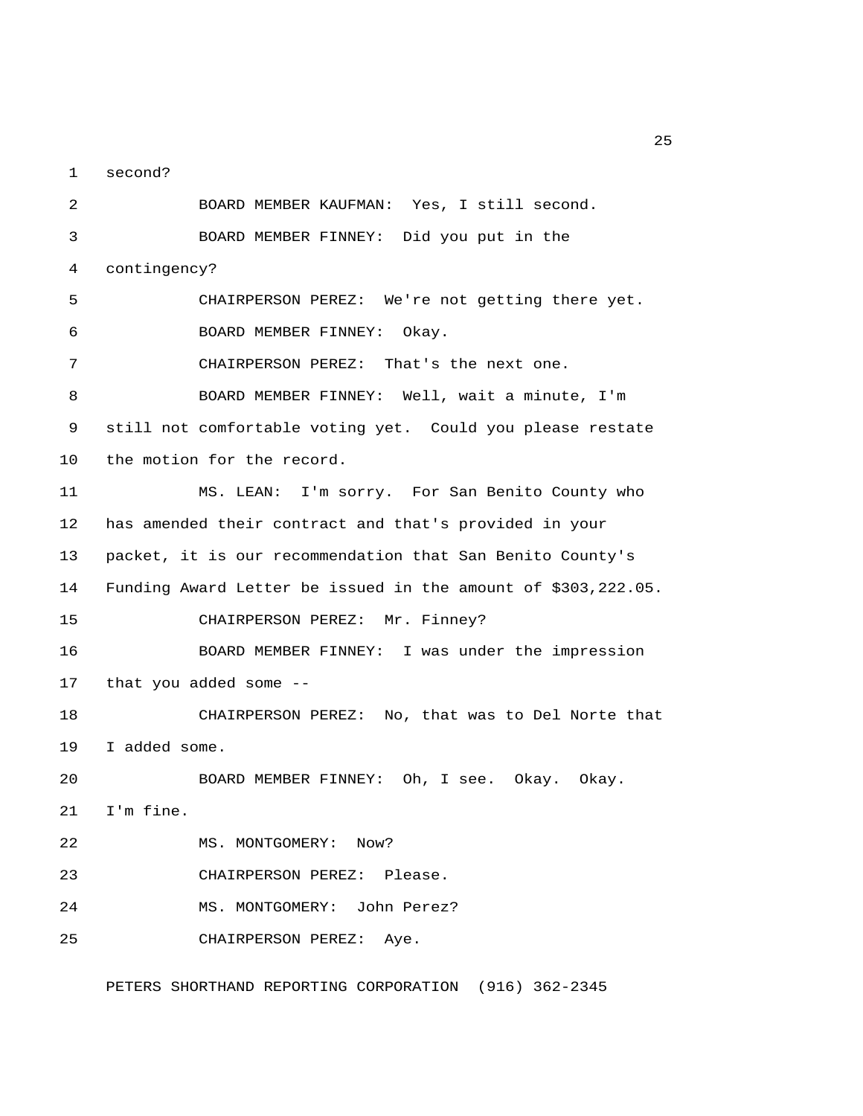1 second?

 2 BOARD MEMBER KAUFMAN: Yes, I still second. 3 BOARD MEMBER FINNEY: Did you put in the 4 contingency? 5 CHAIRPERSON PEREZ: We're not getting there yet. 6 BOARD MEMBER FINNEY: Okay. 7 CHAIRPERSON PEREZ: That's the next one. 8 BOARD MEMBER FINNEY: Well, wait a minute, I'm 9 still not comfortable voting yet. Could you please restate 10 the motion for the record. 11 MS. LEAN: I'm sorry. For San Benito County who 12 has amended their contract and that's provided in your 13 packet, it is our recommendation that San Benito County's 14 Funding Award Letter be issued in the amount of \$303,222.05. 15 CHAIRPERSON PEREZ: Mr. Finney? 16 BOARD MEMBER FINNEY: I was under the impression 17 that you added some -- 18 CHAIRPERSON PEREZ: No, that was to Del Norte that 19 I added some. 20 BOARD MEMBER FINNEY: Oh, I see. Okay. Okay. 21 I'm fine. 22 MS. MONTGOMERY: Now? 23 CHAIRPERSON PEREZ: Please. 24 MS. MONTGOMERY: John Perez? 25 CHAIRPERSON PEREZ: Aye.

PETERS SHORTHAND REPORTING CORPORATION (916) 362-2345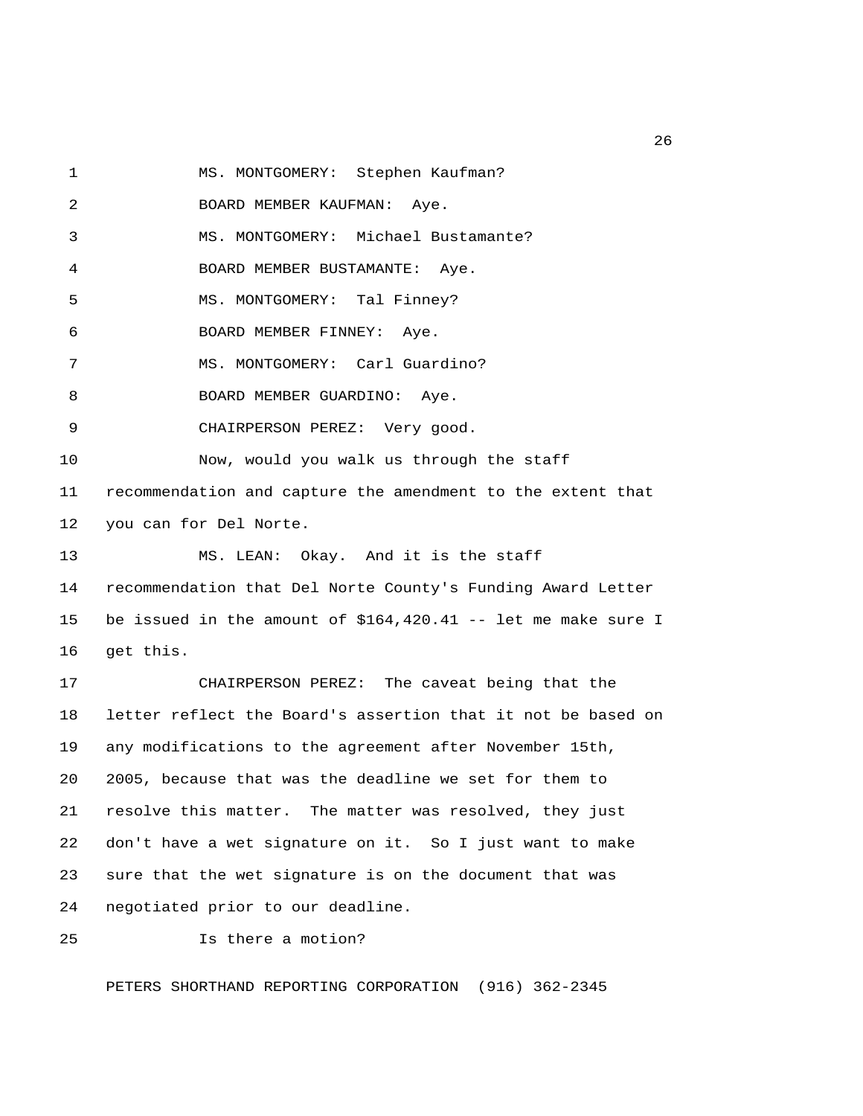1 MS. MONTGOMERY: Stephen Kaufman?

2 BOARD MEMBER KAUFMAN: Aye.

3 MS. MONTGOMERY: Michael Bustamante?

4 BOARD MEMBER BUSTAMANTE: Aye.

5 MS. MONTGOMERY: Tal Finney?

6 BOARD MEMBER FINNEY: Aye.

7 MS. MONTGOMERY: Carl Guardino?

8 BOARD MEMBER GUARDINO: Aye.

9 CHAIRPERSON PEREZ: Very good.

10 Now, would you walk us through the staff

11 recommendation and capture the amendment to the extent that 12 you can for Del Norte.

13 MS. LEAN: Okay. And it is the staff

14 recommendation that Del Norte County's Funding Award Letter 15 be issued in the amount of \$164,420.41 -- let me make sure I 16 get this.

17 CHAIRPERSON PEREZ: The caveat being that the 18 letter reflect the Board's assertion that it not be based on 19 any modifications to the agreement after November 15th, 20 2005, because that was the deadline we set for them to 21 resolve this matter. The matter was resolved, they just 22 don't have a wet signature on it. So I just want to make 23 sure that the wet signature is on the document that was 24 negotiated prior to our deadline.

25 Is there a motion?

PETERS SHORTHAND REPORTING CORPORATION (916) 362-2345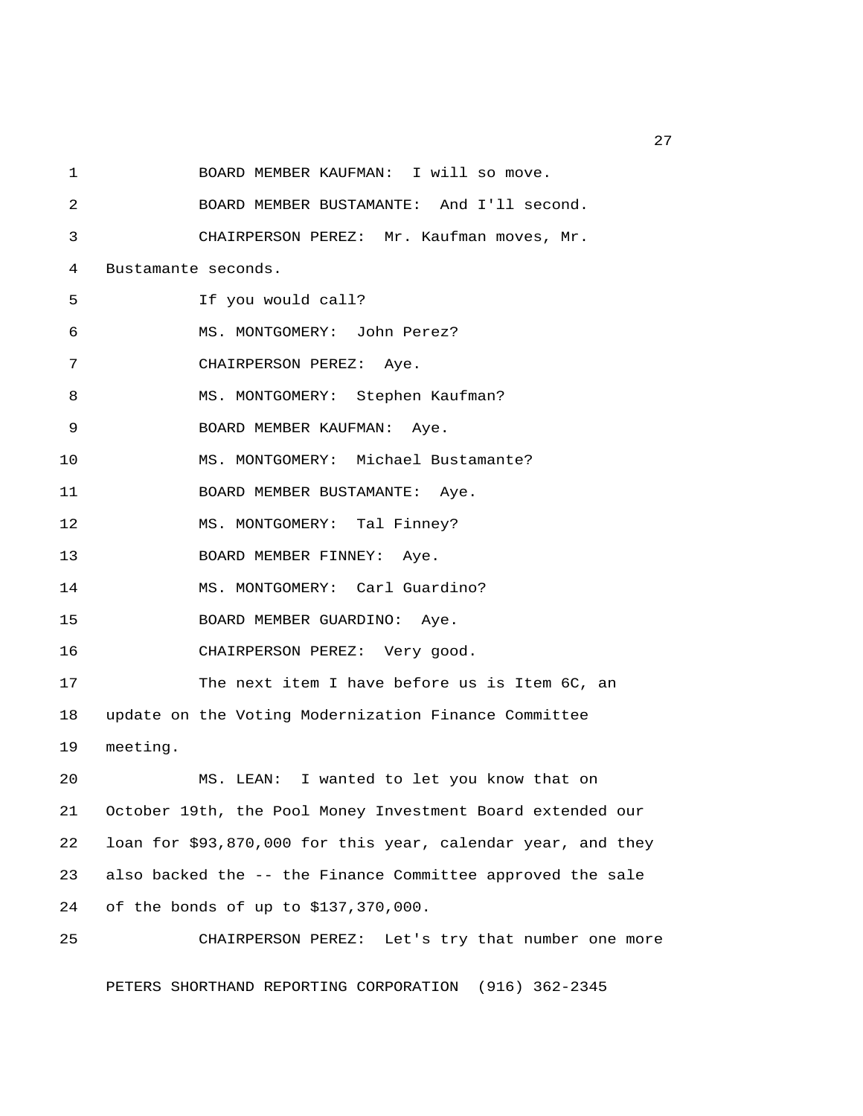1 BOARD MEMBER KAUFMAN: I will so move. 2 BOARD MEMBER BUSTAMANTE: And I'll second. 3 CHAIRPERSON PEREZ: Mr. Kaufman moves, Mr. 4 Bustamante seconds. 5 If you would call? 6 MS. MONTGOMERY: John Perez? 7 CHAIRPERSON PEREZ: Aye. 8 MS. MONTGOMERY: Stephen Kaufman? 9 BOARD MEMBER KAUFMAN: Aye. 10 MS. MONTGOMERY: Michael Bustamante? 11 BOARD MEMBER BUSTAMANTE: Aye. 12 MS. MONTGOMERY: Tal Finney? 13 BOARD MEMBER FINNEY: Aye. 14 MS. MONTGOMERY: Carl Guardino? 15 BOARD MEMBER GUARDINO: Aye. 16 CHAIRPERSON PEREZ: Very good. 17 The next item I have before us is Item 6C, an 18 update on the Voting Modernization Finance Committee 19 meeting. 20 MS. LEAN: I wanted to let you know that on 21 October 19th, the Pool Money Investment Board extended our 22 loan for \$93,870,000 for this year, calendar year, and they 23 also backed the -- the Finance Committee approved the sale

24 of the bonds of up to \$137,370,000.

25 CHAIRPERSON PEREZ: Let's try that number one more PETERS SHORTHAND REPORTING CORPORATION (916) 362-2345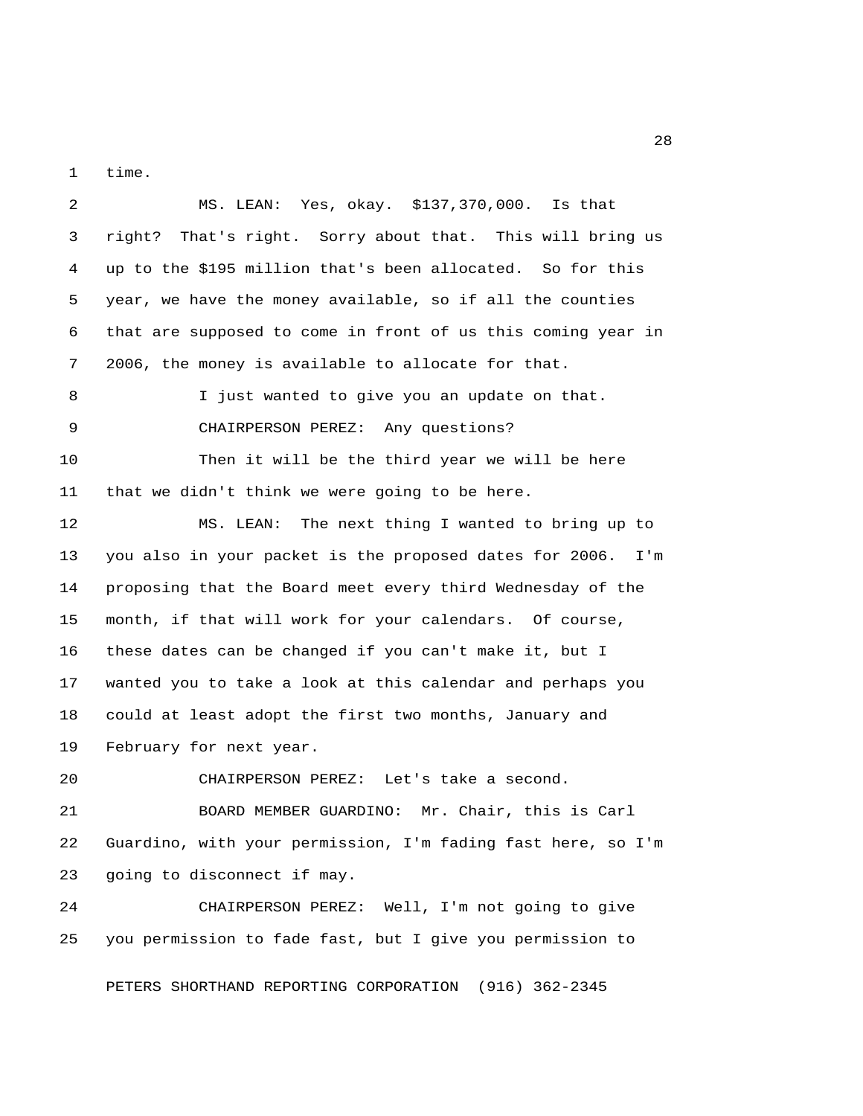1 time.

 2 MS. LEAN: Yes, okay. \$137,370,000. Is that 3 right? That's right. Sorry about that. This will bring us 4 up to the \$195 million that's been allocated. So for this 5 year, we have the money available, so if all the counties 6 that are supposed to come in front of us this coming year in 7 2006, the money is available to allocate for that. 8 I just wanted to give you an update on that. 9 CHAIRPERSON PEREZ: Any questions? 10 Then it will be the third year we will be here 11 that we didn't think we were going to be here. 12 MS. LEAN: The next thing I wanted to bring up to 13 you also in your packet is the proposed dates for 2006. I'm 14 proposing that the Board meet every third Wednesday of the 15 month, if that will work for your calendars. Of course, 16 these dates can be changed if you can't make it, but I 17 wanted you to take a look at this calendar and perhaps you 18 could at least adopt the first two months, January and 19 February for next year. 20 CHAIRPERSON PEREZ: Let's take a second. 21 BOARD MEMBER GUARDINO: Mr. Chair, this is Carl 22 Guardino, with your permission, I'm fading fast here, so I'm 23 going to disconnect if may. 24 CHAIRPERSON PEREZ: Well, I'm not going to give 25 you permission to fade fast, but I give you permission to PETERS SHORTHAND REPORTING CORPORATION (916) 362-2345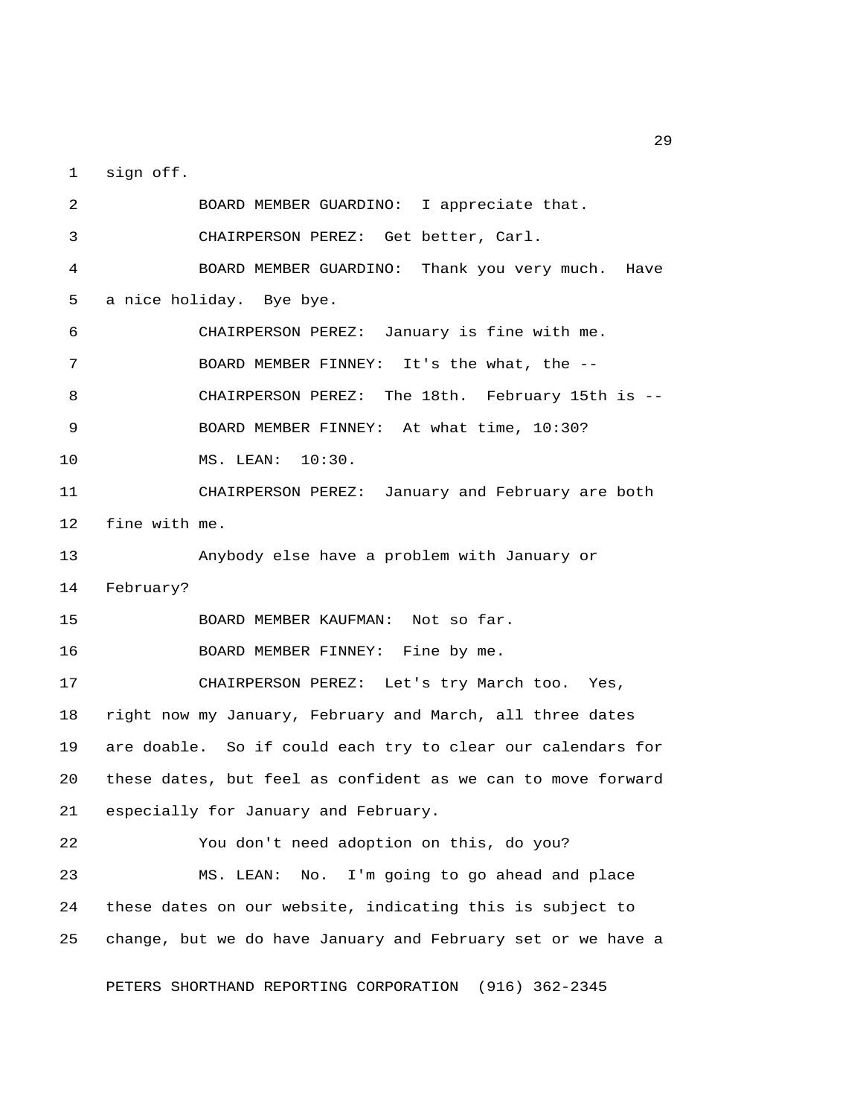1 sign off.

 2 BOARD MEMBER GUARDINO: I appreciate that. 3 CHAIRPERSON PEREZ: Get better, Carl. 4 BOARD MEMBER GUARDINO: Thank you very much. Have 5 a nice holiday. Bye bye. 6 CHAIRPERSON PEREZ: January is fine with me. 7 BOARD MEMBER FINNEY: It's the what, the -- 8 CHAIRPERSON PEREZ: The 18th. February 15th is -- 9 BOARD MEMBER FINNEY: At what time, 10:30? 10 MS. LEAN: 10:30. 11 CHAIRPERSON PEREZ: January and February are both 12 fine with me. 13 Anybody else have a problem with January or 14 February? 15 BOARD MEMBER KAUFMAN: Not so far. 16 BOARD MEMBER FINNEY: Fine by me. 17 CHAIRPERSON PEREZ: Let's try March too. Yes, 18 right now my January, February and March, all three dates 19 are doable. So if could each try to clear our calendars for 20 these dates, but feel as confident as we can to move forward 21 especially for January and February. 22 You don't need adoption on this, do you? 23 MS. LEAN: No. I'm going to go ahead and place 24 these dates on our website, indicating this is subject to 25 change, but we do have January and February set or we have a

PETERS SHORTHAND REPORTING CORPORATION (916) 362-2345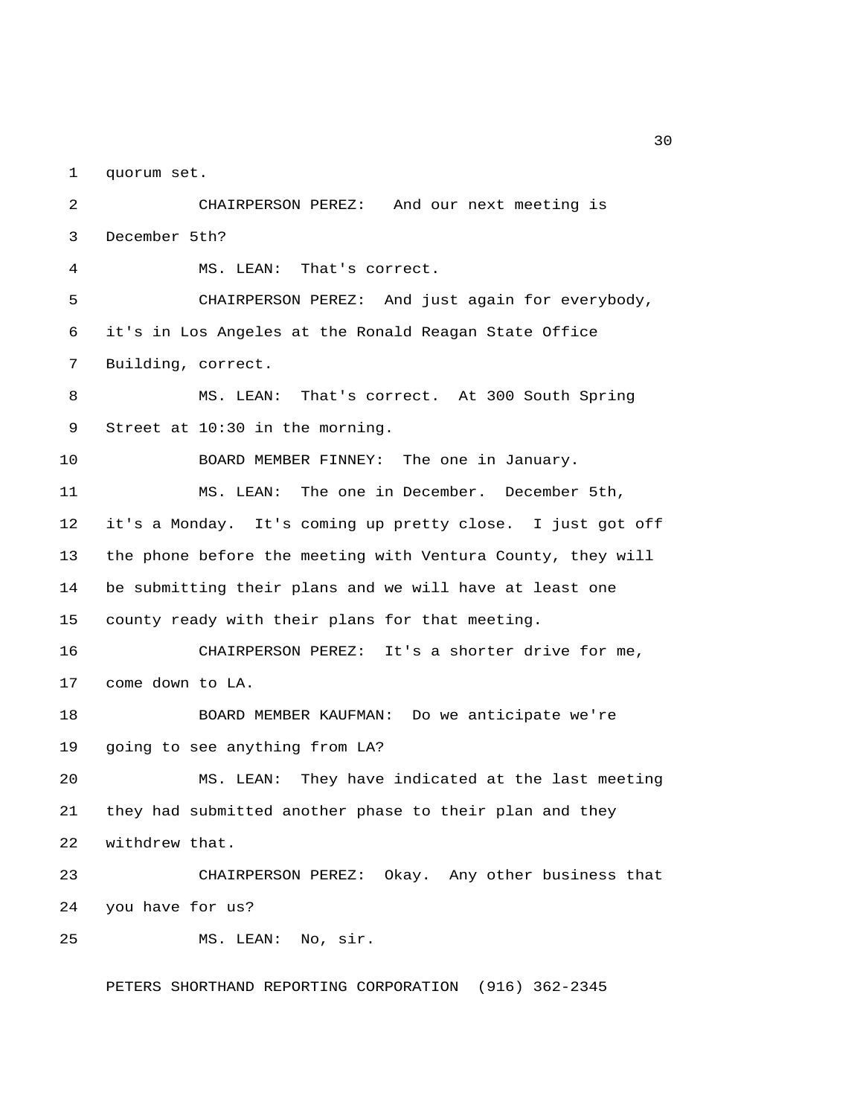1 quorum set.

 2 CHAIRPERSON PEREZ: And our next meeting is 3 December 5th? 4 MS. LEAN: That's correct. 5 CHAIRPERSON PEREZ: And just again for everybody, 6 it's in Los Angeles at the Ronald Reagan State Office 7 Building, correct. 8 MS. LEAN: That's correct. At 300 South Spring 9 Street at 10:30 in the morning. 10 BOARD MEMBER FINNEY: The one in January. 11 MS. LEAN: The one in December. December 5th, 12 it's a Monday. It's coming up pretty close. I just got off 13 the phone before the meeting with Ventura County, they will 14 be submitting their plans and we will have at least one 15 county ready with their plans for that meeting. 16 CHAIRPERSON PEREZ: It's a shorter drive for me, 17 come down to LA. 18 BOARD MEMBER KAUFMAN: Do we anticipate we're 19 going to see anything from LA? 20 MS. LEAN: They have indicated at the last meeting 21 they had submitted another phase to their plan and they 22 withdrew that. 23 CHAIRPERSON PEREZ: Okay. Any other business that 24 you have for us? 25 MS. LEAN: No, sir.

PETERS SHORTHAND REPORTING CORPORATION (916) 362-2345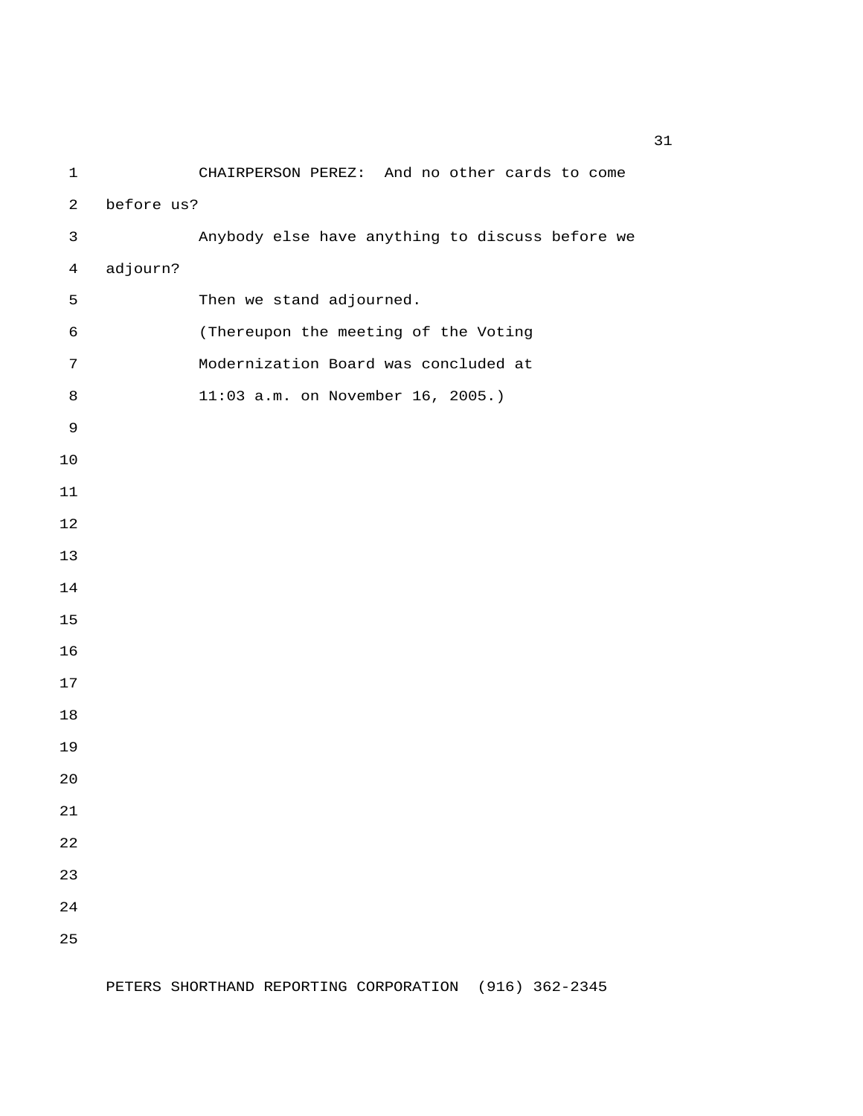1 CHAIRPERSON PEREZ: And no other cards to come 2 before us? 3 Anybody else have anything to discuss before we 4 adjourn? 5 Then we stand adjourned. 6 (Thereupon the meeting of the Voting 7 Modernization Board was concluded at 8 11:03 a.m. on November 16, 2005.)